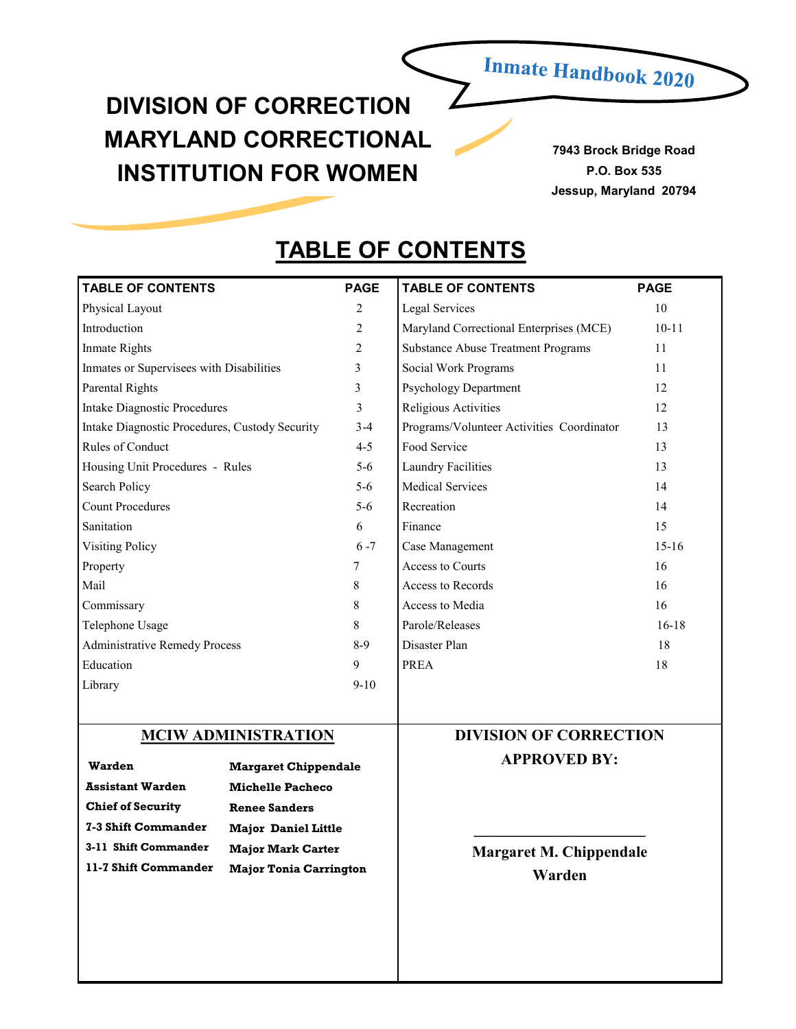# **Inmate Handbook 2020**

# **DIVISION OF CORRECTION MARYLAND CORRECTIONAL INSTITUTION FOR WOMEN**

**7943 Brock Bridge Road P.O. Box 535 Jessup, Maryland 20794**

# **TABLE OF CONTENTS**

| <b>TABLE OF CONTENTS</b>                                                                                  |                                                  | <b>PAGE</b>                    | <b>TABLE OF CONTENTS</b>                  | <b>PAGE</b> |
|-----------------------------------------------------------------------------------------------------------|--------------------------------------------------|--------------------------------|-------------------------------------------|-------------|
| Physical Layout                                                                                           |                                                  | 2                              | Legal Services                            | 10          |
| Introduction                                                                                              |                                                  | 2                              | Maryland Correctional Enterprises (MCE)   | $10 - 11$   |
| <b>Inmate Rights</b>                                                                                      |                                                  | 2                              | <b>Substance Abuse Treatment Programs</b> | 11          |
| Inmates or Supervisees with Disabilities                                                                  |                                                  | 3                              | Social Work Programs                      | 11          |
| <b>Parental Rights</b>                                                                                    |                                                  | 3                              | Psychology Department                     | 12          |
| <b>Intake Diagnostic Procedures</b>                                                                       |                                                  | 3                              | Religious Activities                      | 12          |
| Intake Diagnostic Procedures, Custody Security                                                            |                                                  | $3 - 4$                        | Programs/Volunteer Activities Coordinator | 13          |
| Rules of Conduct                                                                                          |                                                  | $4 - 5$                        | Food Service                              | 13          |
| Housing Unit Procedures - Rules                                                                           |                                                  | $5 - 6$                        | Laundry Facilities                        | 13          |
| Search Policy                                                                                             |                                                  | $5 - 6$                        | <b>Medical Services</b>                   | 14          |
| <b>Count Procedures</b>                                                                                   |                                                  | $5 - 6$                        | Recreation                                | 14          |
| Sanitation                                                                                                |                                                  | 6                              | Finance                                   | 15          |
| <b>Visiting Policy</b>                                                                                    |                                                  | $6 - 7$                        | Case Management                           | $15 - 16$   |
| Property                                                                                                  |                                                  | 7                              | <b>Access to Courts</b>                   | 16          |
| Mail                                                                                                      |                                                  | 8                              | Access to Records                         | 16          |
| Commissary                                                                                                |                                                  | 8                              | Access to Media                           | 16          |
| Telephone Usage                                                                                           |                                                  | 8                              | Parole/Releases                           | $16 - 18$   |
| <b>Administrative Remedy Process</b>                                                                      |                                                  | $8-9$                          | Disaster Plan                             | 18          |
| Education                                                                                                 |                                                  | 9                              | <b>PREA</b>                               | 18          |
| Library                                                                                                   |                                                  | $9-10$                         |                                           |             |
|                                                                                                           |                                                  |                                |                                           |             |
|                                                                                                           | <b>MCIW ADMINISTRATION</b>                       |                                | <b>DIVISION OF CORRECTION</b>             |             |
| <b>Warden</b>                                                                                             | <b>Margaret Chippendale</b>                      |                                | <b>APPROVED BY:</b>                       |             |
| <b>Assistant Warden</b>                                                                                   |                                                  |                                |                                           |             |
|                                                                                                           | <b>Michelle Pacheco</b>                          |                                |                                           |             |
| <b>7-3 Shift Commander</b>                                                                                | <b>Chief of Security</b><br><b>Renee Sanders</b> |                                |                                           |             |
| <b>Major Daniel Little</b>                                                                                |                                                  |                                |                                           |             |
| 3-11 Shift Commander<br><b>Major Mark Carter</b><br>11-7 Shift Commander<br><b>Major Tonia Carrington</b> |                                                  | <b>Margaret M. Chippendale</b> |                                           |             |
|                                                                                                           |                                                  |                                | Warden                                    |             |
|                                                                                                           |                                                  |                                |                                           |             |
|                                                                                                           |                                                  |                                |                                           |             |
|                                                                                                           |                                                  |                                |                                           |             |
|                                                                                                           |                                                  |                                |                                           |             |
|                                                                                                           |                                                  |                                |                                           |             |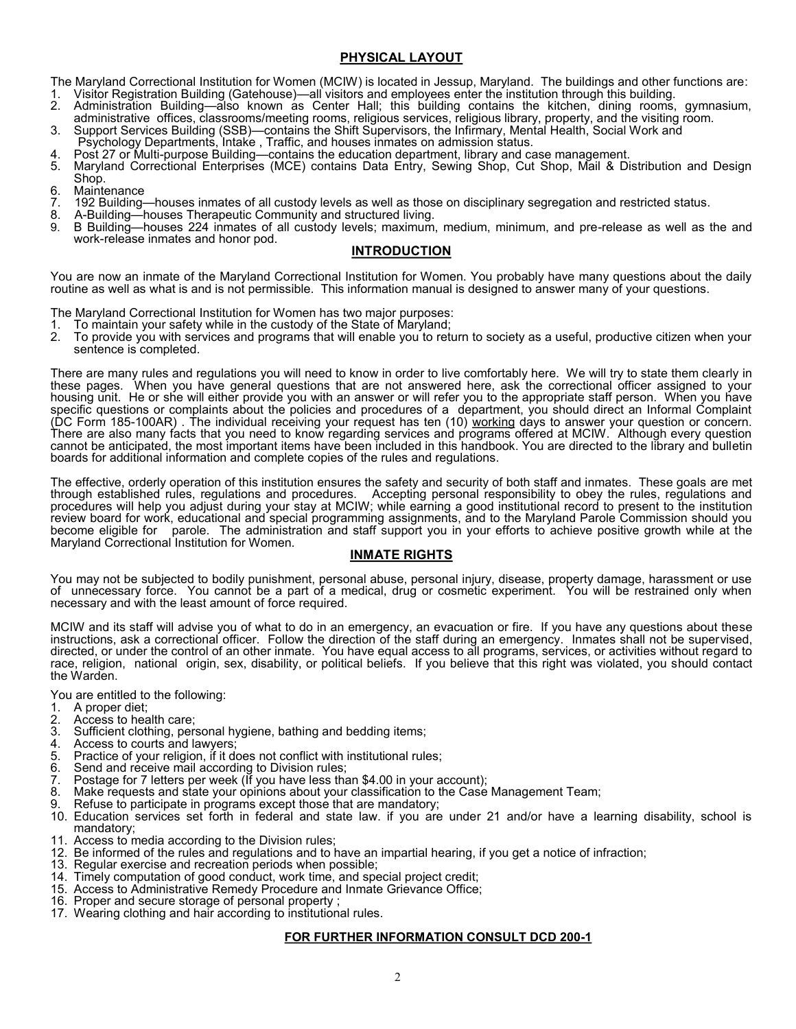# **PHYSICAL LAYOUT**

The Maryland Correctional Institution for Women (MCIW) is located in Jessup, Maryland. The buildings and other functions are:

- 1. Visitor Registration Building (Gatehouse)—all`visitors and employees enter the institution through this building.<br>2. Administration Building—also known as Center Hall: this building contains the kitchen. 2. Administration Building—also known as Center Hall; this building contains the kitchen, dining rooms, gymnasium,
- administrative offices, classrooms/meeting rooms, religious services, religious library, property, and the visiting room. 3. Support Services Building (SSB)—contains the Shift Supervisors, the Infirmary, Mental Health, Social Work and
- Psychology Departments, Intake , Traffic, and houses inmates on admission status.

4. Post 27 or Multi-purpose Building—contains the education department, library and case management.

- 5. Maryland Correctional Enterprises (MCE) contains Data Entry, Sewing Shop, Cut Shop, Mail & Distribution and Design Shop.
- 6. Maintenance
- 7. 192 Building—houses inmates of all custody levels as well as those on disciplinary segregation and restricted status.
- 8. A-Building—houses Therapeutic Community and structured living.
- 9. B Building—houses 224 inmates of all custody levels; maximum, medium, minimum, and pre-release as well as the and work-release inmates and honor pod.

# **INTRODUCTION**

You are now an inmate of the Maryland Correctional Institution for Women. You probably have many questions about the daily routine as well as what is and is not permissible. This information manual is designed to answer many of your questions.

The Maryland Correctional Institution for Women has two major purposes:

- 
- 1. To maintain your safety while in the custody of the State of Maryland; 2. To provide you with services and programs that will enable you to return to society as a useful, productive citizen when your sentence is completed.

There are many rules and regulations you will need to know in order to live comfortably here. We will try to state them clearly in these pages. When you have general questions that are not answered here, ask the correctional officer assigned to your housing unit. He or she will either provide you with an answer or will refer you to the appropriate staff person. When you have specific questions or complaints about the policies and procedures of a department, you should direct an Informal Complaint (DC Form 185-100AR) . The individual receiving your request has ten (10) working days to answer your question or concern. There are also many facts that you need to know regarding services and programs offered at MCIW. Although every question cannot be anticipated, the most important items have been included in this handbook. You are directed to the library and bulletin boards for additional information and complete copies of the rules and regulations.

The effective, orderly operation of this institution ensures the safety and security of both staff and inmates. These goals are met through established rules, regulations and procedures. Accepting personal responsibility to obey the rules, regulations and procedures will help you adjust during your stay at MCIW; while earning a good institutional record to present to the institution review board for work, educational and special programming assignments, and to the Maryland Parole Commission should you become eligible for parole. The administration and staff support you in your efforts to achieve positive growth while at the Maryland Correctional Institution for Women.

# **INMATE RIGHTS**

You may not be subjected to bodily punishment, personal abuse, personal injury, disease, property damage, harassment or use of unnecessary force. You cannot be a part of a medical, drug or cosmetic experiment. You will be restrained only when necessary and with the least amount of force required.

MCIW and its staff will advise you of what to do in an emergency, an evacuation or fire. If you have any questions about these instructions, ask a correctional officer. Follow the direction of the staff during an emergency. Inmates shall not be supervised, directed, or under the control of an other inmate. You have equal access to all programs, services, or activities without regard to race, religion, national origin, sex, disability, or political beliefs. If you believe that this right was violated, you should contact the Warden.

You are entitled to the following:<br>1 A proper diet:

- 1. A proper diet;
- 2. Access to health care;<br>3. Sufficient clothing, per
- Sufficient clothing, personal hygiene, bathing and bedding items;
- 4. Access to courts and lawyers;
- 5. Practice of your religion, if it does not conflict with institutional rules;
- Send and receive mail according to Division rules;
- 7. Postage for 7 letters per week (If you have less than \$4.00 in your account);<br>8. Make requests and state your opinions about your classification to the Case
- Make requests and state your opinions about your classification to the Case Management Team;
- 9. Refuse to participate in programs except those that are mandatory;
- 10. Education services set forth in federal and state law. if you are under 21 and/or have a learning disability, school is mandatory;
- 11. Access to media according to the Division rules;
- 12. Be informed of the rules and regulations and to have an impartial hearing, if you get a notice of infraction;
- 13. Regular exercise and recreation periods when possible;
- 14. Timely computation of good conduct, work time, and special project credit;
- 15. Access to Administrative Remedy Procedure and Inmate Grievance Office;
- 16. Proper and secure storage of personal property ;
- 17. Wearing clothing and hair according to institutional rules.

# **FOR FURTHER INFORMATION CONSULT DCD 200-1**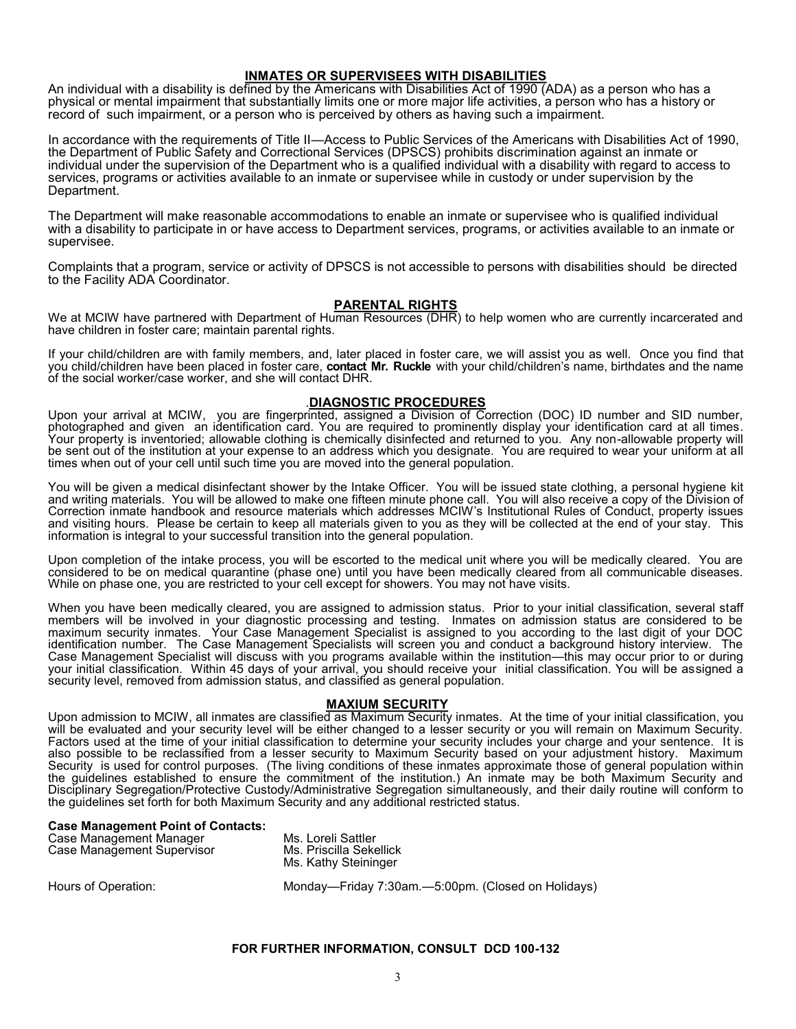#### **INMATES OR SUPERVISEES WITH DISABILITIES**

An individual with a disability is defined by the Americans with Disabilities Act of 1990 (ADA) as a person who has a physical or mental impairment that substantially limits one or more major life activities, a person who has a history or record of such impairment, or a person who is perceived by others as having such a impairment.

In accordance with the requirements of Title II—Access to Public Services of the Americans with Disabilities Act of 1990, the Department of Public Safety and Correctional Services (DPSCS) prohibits discrimination against an inmate or individual under the supervision of the Department who is a qualified individual with a disability with regard to access to services, programs or activities available to an inmate or supervisee while in custody or under supervision by the Department.

The Department will make reasonable accommodations to enable an inmate or supervisee who is qualified individual with a disability to participate in or have access to Department services, programs, or activities available to an inmate or supervisee.

Complaints that a program, service or activity of DPSCS is not accessible to persons with disabilities should be directed to the Facility ADA Coordinator.

#### **PARENTAL RIGHTS**

We at MCIW have partnered with Department of Human Resources (DHR) to help women who are currently incarcerated and have children in foster care; maintain parental rights.

If your child/children are with family members, and, later placed in foster care, we will assist you as well. Once you find that you child/children have been placed in foster care, **contact Mr. Ruckle** with your child/children's name, birthdates and the name of the social worker/case worker, and she will contact DHR.

# .**DIAGNOSTIC PROCEDURES**

Upon your arrival at MCIW, you are fingerprinted, assigned a Division of Correction (DOC) ID number and SID number, photographed and given an identification card. You are required to prominently display your identification card at all times. Your property is inventoried; allowable clothing is chemically disinfected and returned to you. Any non-allowable property will be sent out of the institution at your expense to an address which you designate. You are required to wear your uniform at all times when out of your cell until such time you are moved into the general population.

You will be given a medical disinfectant shower by the Intake Officer. You will be issued state clothing, a personal hygiene kit and writing materials. You will be allowed to make one fifteen minute phone call. You will also receive a copy of the Division of Correction inmate handbook and resource materials which addresses MCIW's Institutional Rules of Conduct, property issues and visiting hours. Please be certain to keep all materials given to you as they will be collected at the end of your stay. This information is integral to your successful transition into the general population.

Upon completion of the intake process, you will be escorted to the medical unit where you will be medically cleared. You are considered to be on medical quarantine (phase one) until you have been medically cleared from all communicable diseases. While on phase one, you are restricted to your cell except for showers. You may not have visits.

When you have been medically cleared, you are assigned to admission status. Prior to your initial classification, several staff members will be involved in your diagnostic processing and testing. Inmates on admission status are considered to be maximum security inmates. Your Case Management Specialist is assigned to you according to the last digit of your DOC identification number. The Case Management Specialists will screen you and conduct a background history interview. The Case Management Specialist will discuss with you programs available within the institution—this may occur prior to or during your initial classification. Within 45 days of your arrival, you should receive your initial classification. You will be assigned a security level, removed from admission status, and classified as general population.

# **MAXIUM SECURITY**

Upon admission to MCIW, all inmates are classified as Maximum Security inmates. At the time of your initial classification, you will be evaluated and your security level will be either changed to a lesser security or you will remain on Maximum Security. Factors used at the time of your initial classification to determine your security includes your charge and your sentence. It is also possible to be reclassified from a lesser security to Maximum Security based on your adjustment history. Maximum Security is used for control purposes. (The living conditions of these inmates approximate those of general population within the guidelines established to ensure the commitment of the institution.) An inmate may be both Maximum Security and Disciplinary Segregation/Protective Custody/Administrative Segregation simultaneously, and their daily routine will conform to the guidelines set forth for both Maximum Security and any additional restricted status.

#### **Case Management Point of Contacts:**

| Case Management Manager    |
|----------------------------|
| Case Management Supervisor |

Ms. Loreli Sattler Ms. Priscilla Sekellick Ms. Kathy Steininger

Hours of Operation: Monday—Friday 7:30am.—5:00pm. (Closed on Holidays)

#### **FOR FURTHER INFORMATION, CONSULT DCD 100-132**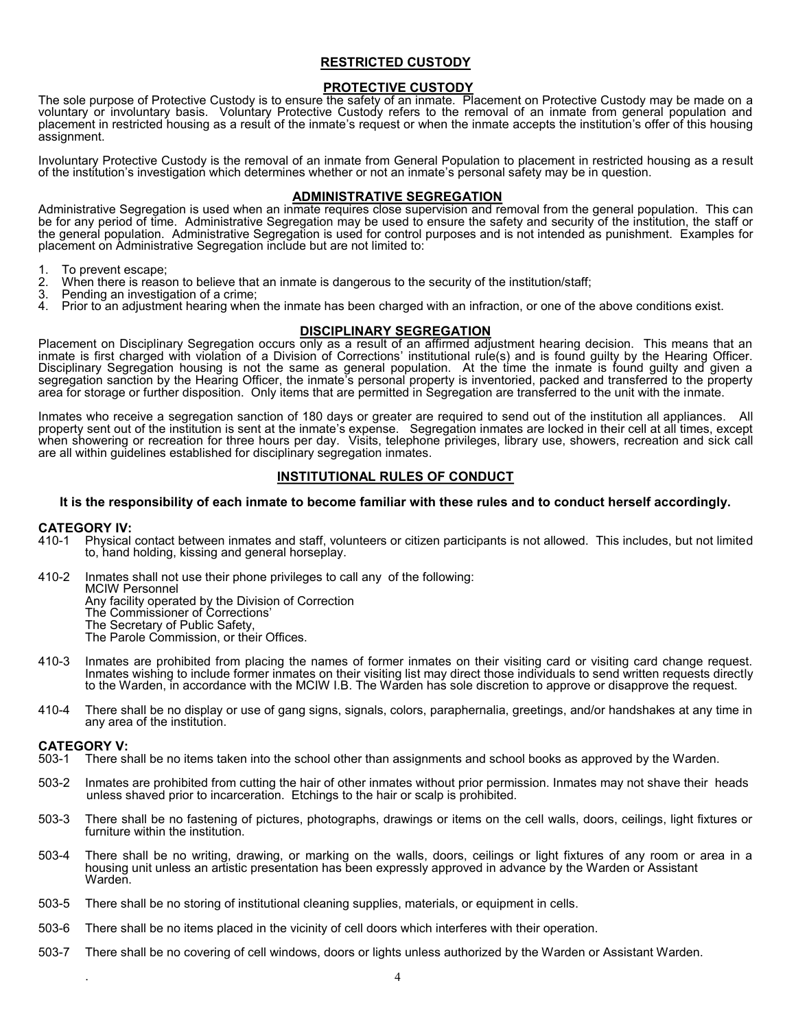# **RESTRICTED CUSTODY**

# **PROTECTIVE CUSTODY**

The sole purpose of Protective Custody is to ensure the safety of an inmate. Placement on Protective Custody may be made on a voluntary or involuntary basis. Voluntary Protective Custody refers to the removal of an inmate from general population and placement in restricted housing as a result of the inmate's request or when the inmate accepts the institution's offer of this housing assignment.

Involuntary Protective Custody is the removal of an inmate from General Population to placement in restricted housing as a result of the institution's investigation which determines whether or not an inmate's personal safety may be in question.

# **ADMINISTRATIVE SEGREGATION**

Administrative Segregation is used when an inmate requires close supervision and removal from the general population. This can be for any period of time. Administrative Segregation may be used to ensure the safety and security of the institution, the staff or the general population. Administrative Segregation is used for control purposes and is not intended as punishment. Examples for placement on Administrative Segregation include but are not limited to:

- 1. To prevent escape;
- 2. When there is reason to believe that an inmate is dangerous to the security of the institution/staff;
- 3. Pending an investigation of a crime;
- Prior to an adjustment hearing when the inmate has been charged with an infraction, or one of the above conditions exist.

# **DISCIPLINARY SEGREGATION**

Placement on Disciplinary Segregation occurs only as a result of an affirmed adjustment hearing decision. This means that an inmate is first charged with violation of a Division of Corrections' institutional rule(s) and is found guilty by the Hearing Officer. Disciplinary Segregation housing is not the same as general population. At the time the inmate is found guilty and given a segregation sanction by the Hearing Officer, the inmate's personal property is inventoried, packed and transferred to the property area for storage or further disposition. Only items that are permitted in Segregation are transferred to the unit with the inmate.

Inmates who receive a segregation sanction of 180 days or greater are required to send out of the institution all appliances. All property sent out of the institution is sent at the inmate's expense. Segregation inmates are locked in their cell at all times, except when showering or recreation for three hours per day. Visits, telephone privileges, library use, showers, recreation and sick call are all within guidelines established for disciplinary segregation inmates.

# **INSTITUTIONAL RULES OF CONDUCT**

#### **It is the responsibility of each inmate to become familiar with these rules and to conduct herself accordingly.**

#### **CATEGORY IV:**

- 410-1 Physical contact between inmates and staff, volunteers or citizen participants is not allowed. This includes, but not limited to, hand holding, kissing and general horseplay.
- 410-2 Inmates shall not use their phone privileges to call any of the following: MCIW Personnel Any facility operated by the Division of Correction The Commissioner of Corrections' The Secretary of Public Safety, The Parole Commission, or their Offices.
- 410-3 Inmates are prohibited from placing the names of former inmates on their visiting card or visiting card change request. Inmates wishing to include former inmates on their visiting list may direct those individuals to send written requests directly to the Warden, in accordance with the MCIW I.B. The Warden has sole discretion to approve or disapprove the request.
- 410-4 There shall be no display or use of gang signs, signals, colors, paraphernalia, greetings, and/or handshakes at any time in any area of the institution.

# **CATEGORY V:**<br>503-1 There sh

.

- There shall be no items taken into the school other than assignments and school books as approved by the Warden.
- 503-2 Inmates are prohibited from cutting the hair of other inmates without prior permission. Inmates may not shave their heads unless shaved prior to incarceration. Etchings to the hair or scalp is prohibited.
- 503-3 There shall be no fastening of pictures, photographs, drawings or items on the cell walls, doors, ceilings, light fixtures or furniture within the institution.
- 503-4 There shall be no writing, drawing, or marking on the walls, doors, ceilings or light fixtures of any room or area in a housing unit unless an artistic presentation has been expressly approved in advance by the Warden or Assistant Warden.
- 503-5 There shall be no storing of institutional cleaning supplies, materials, or equipment in cells.
- 503-6 There shall be no items placed in the vicinity of cell doors which interferes with their operation.
- 503-7 There shall be no covering of cell windows, doors or lights unless authorized by the Warden or Assistant Warden.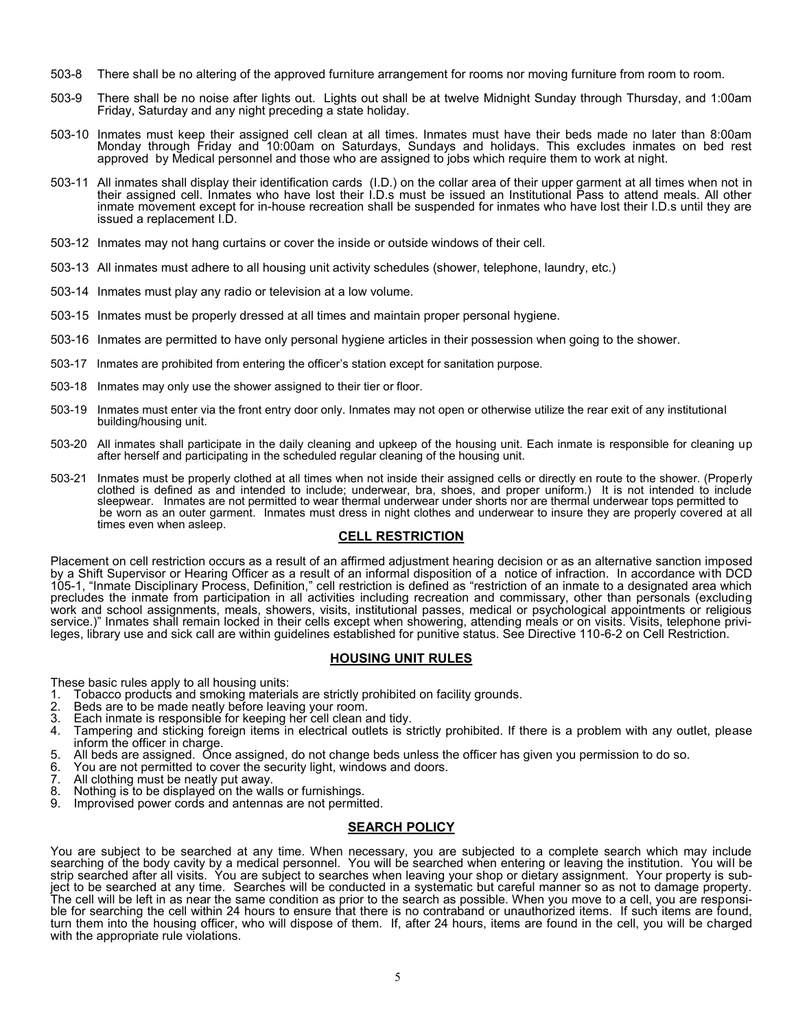- 503-8 There shall be no altering of the approved furniture arrangement for rooms nor moving furniture from room to room.
- 503-9 There shall be no noise after lights out. Lights out shall be at twelve Midnight Sunday through Thursday, and 1:00am Friday, Saturday and any night preceding a state holiday.
- 503-10 Inmates must keep their assigned cell clean at all times. Inmates must have their beds made no later than 8:00am Monday through Friday and 10:00am on Saturdays, Sundays and holidays. This excludes inmates on bed rest approved by Medical personnel and those who are assigned to jobs which require them to work at night.
- 503-11 All inmates shall display their identification cards (I.D.) on the collar area of their upper garment at all times when not in their assigned cell. Inmates who have lost their I.D.s must be issued an Institutional Pass to attend meals. All other inmate movement except for in-house recreation shall be suspended for inmates who have lost their I.D.s until they are issued a replacement I.D.
- 503-12 Inmates may not hang curtains or cover the inside or outside windows of their cell.
- 503-13 All inmates must adhere to all housing unit activity schedules (shower, telephone, laundry, etc.)
- 503-14 Inmates must play any radio or television at a low volume.
- 503-15 Inmates must be properly dressed at all times and maintain proper personal hygiene.
- 503-16 Inmates are permitted to have only personal hygiene articles in their possession when going to the shower.
- 503-17 Inmates are prohibited from entering the officer's station except for sanitation purpose.
- 503-18 Inmates may only use the shower assigned to their tier or floor.
- 503-19 Inmates must enter via the front entry door only. Inmates may not open or otherwise utilize the rear exit of any institutional building/housing unit.
- 503-20 All inmates shall participate in the daily cleaning and upkeep of the housing unit. Each inmate is responsible for cleaning up after herself and participating in the scheduled regular cleaning of the housing unit.
- 503-21 Inmates must be properly clothed at all times when not inside their assigned cells or directly en route to the shower. (Properly clothed is defined as and intended to include; underwear, bra, shoes, and proper uniform.) It is not intended to include sleepwear. Inmates are not permitted to wear thermal underwear under shorts nor are thermal underwear tops permitted to be worn as an outer garment. Inmates must dress in night clothes and underwear to insure they are properly covered at all times even when asleep.

# **CELL RESTRICTION**

Placement on cell restriction occurs as a result of an affirmed adjustment hearing decision or as an alternative sanction imposed by a Shift Supervisor or Hearing Officer as a result of an informal disposition of a notice of infraction. In accordance with DCD 105-1, "Inmate Disciplinary Process, Definition," cell restriction is defined as "restriction of an inmate to a designated area which precludes the inmate from participation in all activities including recreation and commissary, other than personals (excluding work and school assignments, meals, showers, visits, institutional passes, medical or psychological appointments or religious service.)" Inmates shall remain locked in their cells except when showering, attending meals or on visits. Visits, telephone privileges, library use and sick call are within guidelines established for punitive status. See Directive 110-6-2 on Cell Restriction.

# **HOUSING UNIT RULES**

These basic rules apply to all housing units:

- 1. Tobacco products and smoking materials are strictly prohibited on facility grounds.
- Beds are to be made neatly before leaving your room.
- 3. Each inmate is responsible for keeping her cell clean and tidy.
- Tampering and sticking foreign items in electrical outlets is strictly prohibited. If there is a problem with any outlet, please inform the officer in charge.
- 5. All beds are assigned. Once assigned, do not change beds unless the officer has given you permission to do so.
- 6. You are not permitted to cover the security light, windows and doors.<br>7. All clothing must be neatly put away.
- 7. All clothing must be neatly put away.
- Nothing is to be displayed on the walls or furnishings.
- 9. Improvised power cords and antennas are not permitted.

#### **SEARCH POLICY**

You are subject to be searched at any time. When necessary, you are subjected to a complete search which may include searching of the body cavity by a medical personnel. You will be searched when entering or leaving the institution. You will be strip searched after all visits. You are subject to searches when leaving your shop or dietary assignment. Your property is subject to be searched at any time. Searches will be conducted in a systematic but careful manner so as not to damage property. The cell will be left in as near the same condition as prior to the search as possible. When you move to a cell, you are responsible for searching the cell within 24 hours to ensure that there is no contraband or unauthorized items. If such items are found, turn them into the housing officer, who will dispose of them. If, after 24 hours, items are found in the cell, you will be charged with the appropriate rule violations.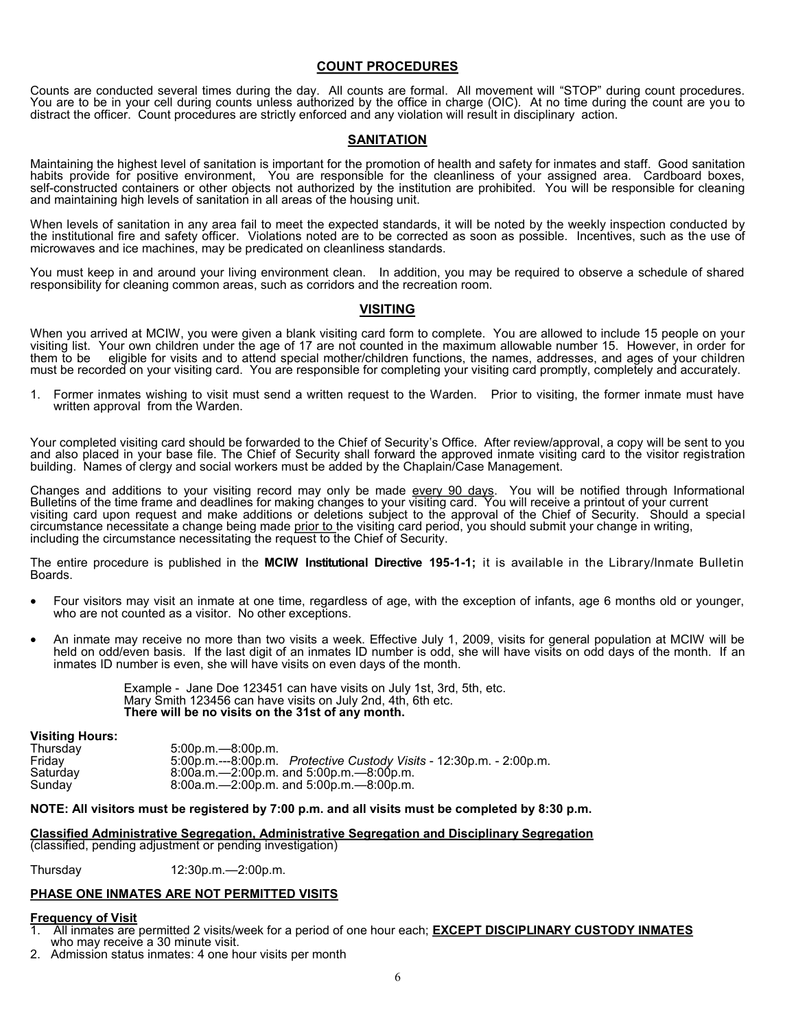# **COUNT PROCEDURES**

Counts are conducted several times during the day. All counts are formal. All movement will "STOP" during count procedures. You are to be in your cell during counts unless authorized by the office in charge (OIC). At no time during the count are you to distract the officer. Count procedures are strictly enforced and any violation will result in disciplinary action.

# **SANITATION**

Maintaining the highest level of sanitation is important for the promotion of health and safety for inmates and staff. Good sanitation habits provide for positive environment, You are responsible for the cleanliness of your assigned area. Cardboard boxes, self-constructed containers or other objects not authorized by the institution are prohibited. You will be responsible for cleaning and maintaining high levels of sanitation in all areas of the housing unit.

When levels of sanitation in any area fail to meet the expected standards, it will be noted by the weekly inspection conducted by the institutional fire and safety officer. Violations noted are to be corrected as soon as possible. Incentives, such as the use of microwaves and ice machines, may be predicated on cleanliness standards.

You must keep in and around your living environment clean. In addition, you may be required to observe a schedule of shared responsibility for cleaning common areas, such as corridors and the recreation room.

#### **VISITING**

When you arrived at MCIW, you were given a blank visiting card form to complete. You are allowed to include 15 people on your visiting list. Your own children under the age of 17 are not counted in the maximum allowable number 15. However, in order for<br>them to be eligible for visits and to attend special mother/children functions, the names, addr eligible for visits and to attend special mother/children functions, the names, addresses, and ages of your children must be recorded on your visiting card. You are responsible for completing your visiting card promptly, completely and accurately.

1. Former inmates wishing to visit must send a written request to the Warden. Prior to visiting, the former inmate must have written approval from the Warden.

Your completed visiting card should be forwarded to the Chief of Security's Office. After review/approval, a copy will be sent to you and also placed in your base file. The Chief of Security shall forward the approved inmate visiting card to the visitor registration building. Names of clergy and social workers must be added by the Chaplain/Case Management.

Changes and additions to your visiting record may only be made every 90 days. You will be notified through Informational Bulletins of the time frame and deadlines for making changes to your visiting card. You will receive a printout of your current visiting card upon request and make additions or deletions subject to the approval of the Chief of Security. Should a special circumstance necessitate a change being made prior to the visiting card period, you should submit your change in writing, including the circumstance necessitating the request to the Chief of Security.

The entire procedure is published in the **MCIW Institutional Directive 195-1-1;** it is available in the Library/Inmate Bulletin Boards.

- Four visitors may visit an inmate at one time, regardless of age, with the exception of infants, age 6 months old or younger, who are not counted as a visitor. No other exceptions.
- An inmate may receive no more than two visits a week. Effective July 1, 2009, visits for general population at MCIW will be held on odd/even basis. If the last digit of an inmates ID number is odd, she will have visits on odd days of the month. If an inmates ID number is even, she will have visits on even days of the month.

Example - Jane Doe 123451 can have visits on July 1st, 3rd, 5th, etc. Mary Smith 123456 can have visits on July 2nd, 4th, 6th etc. **There will be no visits on the 31st of any month.**

#### **Visiting Hours:**

| $5:00$ p.m. $-8:00$ p.m.                                             |
|----------------------------------------------------------------------|
| 5:00p.m.---8:00p.m. Protective Custody Visits - 12:30p.m. - 2:00p.m. |
| $8:00a.m. - 2:00p.m.$ and $5:00p.m. - 8:00p.m.$                      |
| $8:00a.m. - 2:00p.m.$ and $5:00p.m. - 8:00p.m.$                      |
|                                                                      |

#### **NOTE: All visitors must be registered by 7:00 p.m. and all visits must be completed by 8:30 p.m.**

**Classified Administrative Segregation, Administrative Segregation and Disciplinary Segregation**  (classified, pending adjustment or pending investigation)

Thursday 12:30p.m.—2:00p.m.

#### **PHASE ONE INMATES ARE NOT PERMITTED VISITS**

#### **Frequency of Visit**

- 1. All inmates are permitted 2 visits/week for a period of one hour each; **EXCEPT DISCIPLINARY CUSTODY INMATES** who may receive a 30 minute visit.
- 2. Admission status inmates: 4 one hour visits per month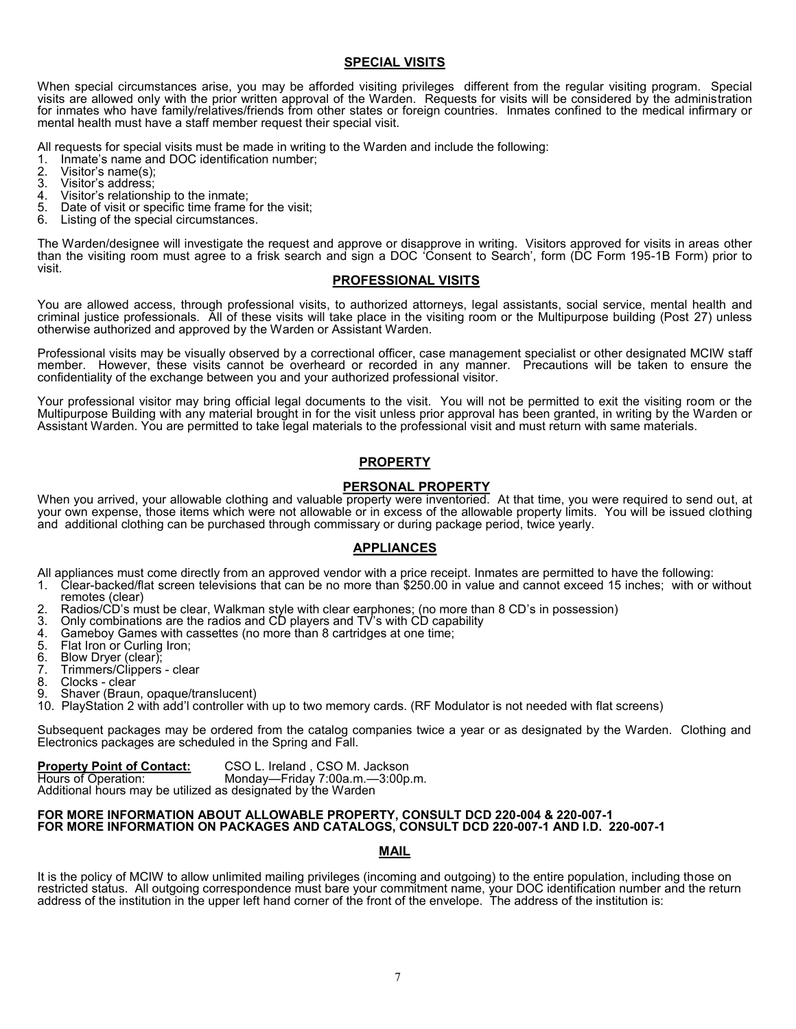# **SPECIAL VISITS**

When special circumstances arise, you may be afforded visiting privileges different from the regular visiting program. Special visits are allowed only with the prior written approval of the Warden. Requests for visits will be considered by the administration for inmates who have family/relatives/friends from other states or foreign countries. Inmates confined to the medical infirmary or mental health must have a staff member request their special visit.

All requests for special visits must be made in writing to the Warden and include the following:

1. Inmate's name and DOC identification number;

- 2. Visitor's name(s);<br>3. Visitor's address;
- 3. Visitor's address;<br>4. Visitor's relations
- 4. Visitor's relationship to the inmate;<br>5. Date of visit or specific time frame
- 5. Date of visit or specific time frame for the visit;
- Listing of the special circumstances.

The Warden/designee will investigate the request and approve or disapprove in writing. Visitors approved for visits in areas other than the visiting room must agree to a frisk search and sign a DOC 'Consent to Search', form (DC Form 195-1B Form) prior to visit.

#### **PROFESSIONAL VISITS**

You are allowed access, through professional visits, to authorized attorneys, legal assistants, social service, mental health and criminal justice professionals. All of these visits will take place in the visiting room or the Multipurpose building (Post 27) unless otherwise authorized and approved by the Warden or Assistant Warden.

Professional visits may be visually observed by a correctional officer, case management specialist or other designated MCIW staff member. However, these visits cannot be overheard or recorded in any manner. Precautions will be taken to ensure the confidentiality of the exchange between you and your authorized professional visitor.

Your professional visitor may bring official legal documents to the visit. You will not be permitted to exit the visiting room or the Multipurpose Building with any material brought in for the visit unless prior approval has been granted, in writing by the Warden or Assistant Warden. You are permitted to take legal materials to the professional visit and must return with same materials.

# **PROPERTY**

# **PERSONAL PROPERTY**

When you arrived, your allowable clothing and valuable property were inventoried. At that time, you were required to send out, at your own expense, those items which were not allowable or in excess of the allowable property limits. You will be issued clothing and additional clothing can be purchased through commissary or during package period, twice yearly.

#### **APPLIANCES**

All appliances must come directly from an approved vendor with a price receipt. Inmates are permitted to have the following:

- 1. Clear-backed/flat screen televisions that can be no more than \$250.00 in value and cannot exceed 15 inches; with or without remotes (clear)
- 2. Radios/CD's must be clear, Walkman style with clear earphones; (no more than 8 CD's in possession)
- 3. Only combinations are the radios and CD players and TV's with CD capability
- 4. Gameboy Games with cassettes (no more than 8 cartridges at one time;<br>5. Flat Iron or Curling Iron:
- 
- 5. Flat Iron or Curling Iron;<br>6. Blow Dryer (clear); 6. Blow Dryer (clear);
- 7. Trimmers/Clippers clear
- 
- 8. Clocks clear<br>9. Shaver (Braun Shaver (Braun, opaque/translucent)
- 10. PlayStation 2 with add'l controller with up to two memory cards. (RF Modulator is not needed with flat screens)

Subsequent packages may be ordered from the catalog companies twice a year or as designated by the Warden. Clothing and Electronics packages are scheduled in the Spring and Fall.

| <b>Property Point of Contact:</b>                            | CSO L. Ireland, CSO M. Jackson  |
|--------------------------------------------------------------|---------------------------------|
| Hours of Operation:                                          | Monday-Friday 7:00a.m.-3:00p.m. |
| Additional bours may be utilized as designated by the Warden |                                 |

Additional hours may be utilized as designated by the Warden

#### **FOR MORE INFORMATION ABOUT ALLOWABLE PROPERTY, CONSULT DCD 220-004 & 220-007-1 FOR MORE INFORMATION ON PACKAGES AND CATALOGS, CONSULT DCD 220-007-1 AND I.D. 220-007-1**

#### **MAIL**

It is the policy of MCIW to allow unlimited mailing privileges (incoming and outgoing) to the entire population, including those on restricted status. All outgoing correspondence must bare your commitment name, your DOC identification number and the return address of the institution in the upper left hand corner of the front of the envelope. The address of the institution is: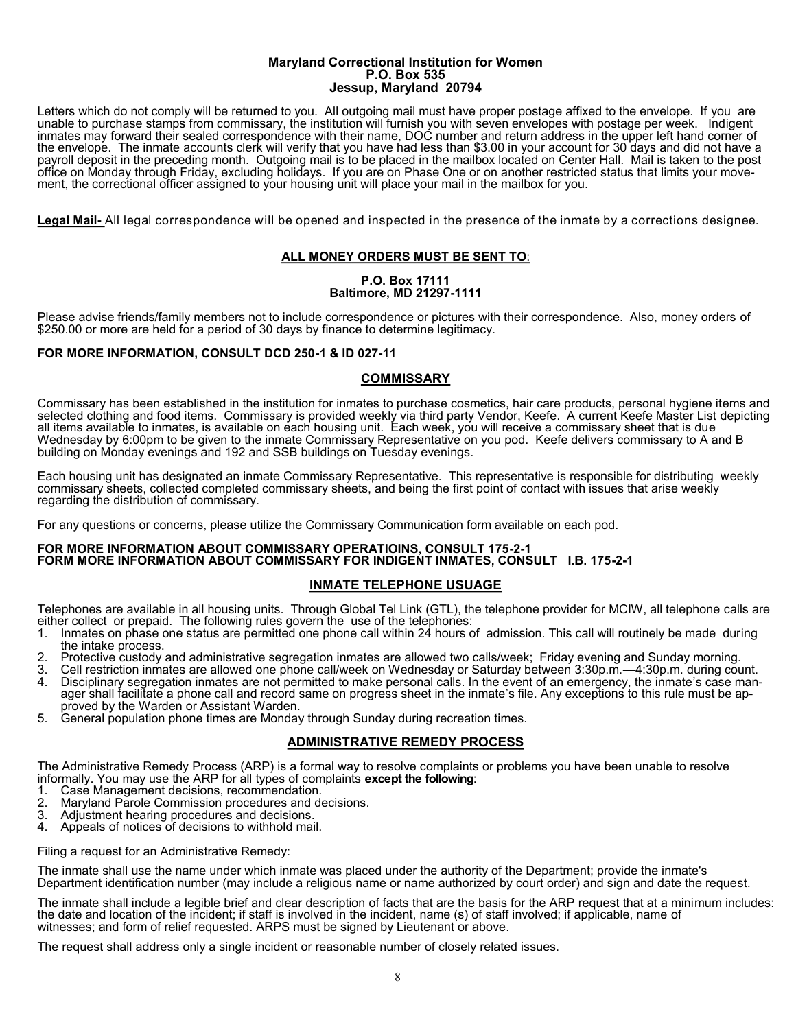#### **Maryland Correctional Institution for Women P.O. Box 535 Jessup, Maryland 20794**

Letters which do not comply will be returned to you. All outgoing mail must have proper postage affixed to the envelope. If you are unable to purchase stamps from commissary, the institution will furnish you with seven envelopes with postage per week. Indigent inmates may forward their sealed correspondence with their name, DOC number and return address in the upper left hand corner of the envelope. The inmate accounts clerk will verify that you have had less than \$3.00 in your account for 30 days and did not have a payroll deposit in the preceding month. Outgoing mail is to be placed in the mailbox located on Center Hall. Mail is taken to the post office on Monday through Friday, excluding holidays. If you are on Phase One or on another restricted status that limits your movement, the correctional officer assigned to your housing unit will place your mail in the mailbox for you.

**Legal Mail-** All legal correspondence will be opened and inspected in the presence of the inmate by a corrections designee.

# **ALL MONEY ORDERS MUST BE SENT TO**:

#### **P.O. Box 17111 Baltimore, MD 21297-1111**

Please advise friends/family members not to include correspondence or pictures with their correspondence. Also, money orders of \$250.00 or more are held for a period of 30 days by finance to determine legitimacy.

# **FOR MORE INFORMATION, CONSULT DCD 250-1 & ID 027-11**

# **COMMISSARY**

Commissary has been established in the institution for inmates to purchase cosmetics, hair care products, personal hygiene items and selected clothing and food items. Commissary is provided weekly via third party Vendor, Keefe. A current Keefe Master List depicting all items available to inmates, is available on each housing unit. Each week, you will receive a commissary sheet that is due Wednesday by 6:00pm to be given to the inmate Commissary Representative on you pod. Keefe delivers commissary to A and B building on Monday evenings and 192 and SSB buildings on Tuesday evenings.

Each housing unit has designated an inmate Commissary Representative. This representative is responsible for distributing weekly commissary sheets, collected completed commissary sheets, and being the first point of contact with issues that arise weekly regarding the distribution of commissary.

For any questions or concerns, please utilize the Commissary Communication form available on each pod.

#### **FOR MORE INFORMATION ABOUT COMMISSARY OPERATIOINS, CONSULT 175-2-1 FORM MORE INFORMATION ABOUT COMMISSARY FOR INDIGENT INMATES, CONSULT I.B. 175-2-1**

# **INMATE TELEPHONE USUAGE**

Telephones are available in all housing units. Through Global Tel Link (GTL), the telephone provider for MCIW, all telephone calls are either collect or prepaid. The following rules govern the use of the telephones:<br>1. Inmates on phase one status are permitted one phone call within 24 hours o

- 1. Inmates on phase one status are permitted one phone call within 24 hours of admission. This call will routinely be made during the intake process.
- 2. Protective custody and administrative segregation inmates are allowed two calls/week; Friday evening and Sunday morning.
- 3. Cell restriction inmates are allowed one phone call/week on Wednesday or Saturday between 3:30p.m.—4:30p.m. during count. 4. Disciplinary segregation inmates are not permitted to make personal calls. In the event of an emergency, the inmate's case man-
- ager shall facilitate a phone call and record same on progress sheet in the inmate's file. Any exceptions to this rule must be approved by the Warden or Assistant Warden.
- 5. General population phone times are Monday through Sunday during recreation times.

# **ADMINISTRATIVE REMEDY PROCESS**

The Administrative Remedy Process (ARP) is a formal way to resolve complaints or problems you have been unable to resolve informally. You may use the ARP for all types of complaints **except the following**:

- 1. Case Management decisions, recommendation.
- Maryland Parole Commission procedures and decisions.
- 3. Adjustment hearing procedures and decisions.
- 4. Appeals of notices of decisions to withhold mail.

Filing a request for an Administrative Remedy:

The inmate shall use the name under which inmate was placed under the authority of the Department; provide the inmate's Department identification number (may include a religious name or name authorized by court order) and sign and date the request.

The inmate shall include a legible brief and clear description of facts that are the basis for the ARP request that at a minimum includes: the date and location of the incident; if staff is involved in the incident, name (s) of staff involved; if applicable, name of witnesses; and form of relief requested. ARPS must be signed by Lieutenant or above.

The request shall address only a single incident or reasonable number of closely related issues.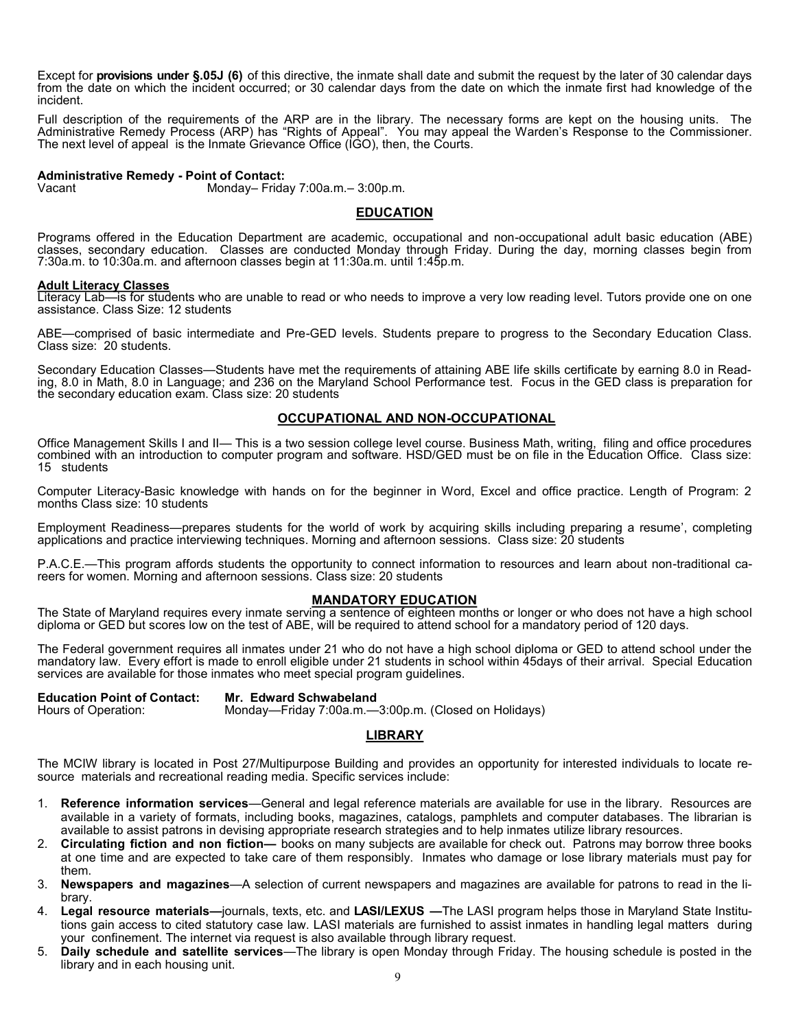Except for **provisions under §.05J (6)** of this directive, the inmate shall date and submit the request by the later of 30 calendar days from the date on which the incident occurred; or 30 calendar days from the date on which the inmate first had knowledge of the incident.

Full description of the requirements of the ARP are in the library. The necessary forms are kept on the housing units. The Administrative Remedy Process (ARP) has "Rights of Appeal". You may appeal the Warden's Response to the Commissioner. The next level of appeal is the Inmate Grievance Office (IGO), then, the Courts.

# **Administrative Remedy - Point of Contact:**

Monday– Friday  $7:00a.m.$ –  $3:00p.m.$ 

#### **EDUCATION**

Programs offered in the Education Department are academic, occupational and non-occupational adult basic education (ABE) classes, secondary education. Classes are conducted Monday through Friday. During the day, morning classes begin from 7:30a.m. to 10:30a.m. and afternoon classes begin at 11:30a.m. until 1:45p.m.

#### **Adult Literacy Classes**

Literacy Lab—is for students who are unable to read or who needs to improve a very low reading level. Tutors provide one on one assistance. Class Size: 12 students

ABE—comprised of basic intermediate and Pre-GED levels. Students prepare to progress to the Secondary Education Class. Class size: 20 students.

Secondary Education Classes—Students have met the requirements of attaining ABE life skills certificate by earning 8.0 in Reading, 8.0 in Math, 8.0 in Language; and 236 on the Maryland School Performance test. Focus in the GED class is preparation for the secondary education exam. Class size: 20 students

# **OCCUPATIONAL AND NON-OCCUPATIONAL**

Office Management Skills I and II— This is a two session college level course. Business Math, writing, filing and office procedures combined with an introduction to computer program and software. HSD/GED must be on file in the Education Office. Class size: 15 students

Computer Literacy-Basic knowledge with hands on for the beginner in Word, Excel and office practice. Length of Program: 2 months Class size: 10 students

Employment Readiness—prepares students for the world of work by acquiring skills including preparing a resume', completing applications and practice interviewing techniques. Morning and afternoon sessions. Class size: 20 students

P.A.C.E.—This program affords students the opportunity to connect information to resources and learn about non-traditional careers for women. Morning and afternoon sessions. Class size: 20 students

# **MANDATORY EDUCATION**

The State of Maryland requires every inmate serving a sentence of eighteen months or longer or who does not have a high school diploma or GED but scores low on the test of ABE, will be required to attend school for a mandatory period of 120 days.

The Federal government requires all inmates under 21 who do not have a high school diploma or GED to attend school under the mandatory law. Every effort is made to enroll eligible under 21 students in school within 45days of their arrival. Special Education services are available for those inmates who meet special program guidelines.

**Education Point of Contact: Mr. Edward Schwabeland**

Monday—Friday 7:00a.m.—3:00p.m. (Closed on Holidays)

# **LIBRARY**

The MCIW library is located in Post 27/Multipurpose Building and provides an opportunity for interested individuals to locate resource materials and recreational reading media. Specific services include:

- 1. **Reference information services**—General and legal reference materials are available for use in the library. Resources are available in a variety of formats, including books, magazines, catalogs, pamphlets and computer databases. The librarian is available to assist patrons in devising appropriate research strategies and to help inmates utilize library resources.
- 2. **Circulating fiction and non fiction—** books on many subjects are available for check out. Patrons may borrow three books at one time and are expected to take care of them responsibly. Inmates who damage or lose library materials must pay for them.
- 3. **Newspapers and magazines**—A selection of current newspapers and magazines are available for patrons to read in the library.
- 4. **Legal resource materials—**journals, texts, etc. and **LASI/LEXUS —**The LASI program helps those in Maryland State Institutions gain access to cited statutory case law. LASI materials are furnished to assist inmates in handling legal matters during your confinement. The internet via request is also available through library request.
- 5. **Daily schedule and satellite services**—The library is open Monday through Friday. The housing schedule is posted in the library and in each housing unit.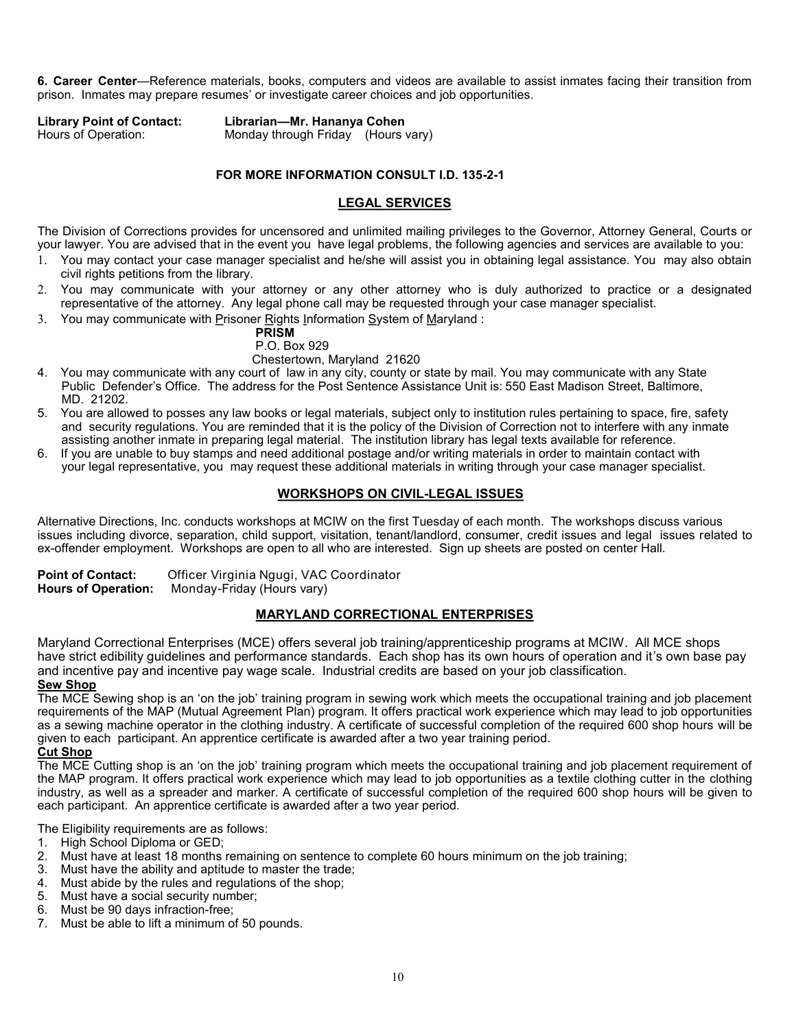**6. Career Center**—Reference materials, books, computers and videos are available to assist inmates facing their transition from prison. Inmates may prepare resumes' or investigate career choices and job opportunities.

**Library Point of Contact: Librarian—Mr. Hananya Cohen**

Monday through Friday (Hours vary)

# **FOR MORE INFORMATION CONSULT I.D. 135-2-1**

# **LEGAL SERVICES**

The Division of Corrections provides for uncensored and unlimited mailing privileges to the Governor, Attorney General, Courts or your lawyer. You are advised that in the event you have legal problems, the following agencies and services are available to you:

- You may contact your case manager specialist and he/she will assist you in obtaining legal assistance. You may also obtain civil rights petitions from the library.
- You may communicate with your attorney or any other attorney who is duly authorized to practice or a designated representative of the attorney. Any legal phone call may be requested through your case manager specialist.
- You may communicate with Prisoner Rights Information System of Maryland :

# **PRISM**

P.O. Box 929

- Chestertown, Maryland 21620
- 4. You may communicate with any court of law in any city, county or state by mail. You may communicate with any State Public Defender's Office. The address for the Post Sentence Assistance Unit is: 550 East Madison Street, Baltimore, MD. 21202.
- 5. You are allowed to posses any law books or legal materials, subject only to institution rules pertaining to space, fire, safety and security regulations. You are reminded that it is the policy of the Division of Correction not to interfere with any inmate assisting another inmate in preparing legal material. The institution library has legal texts available for reference.
- 6. If you are unable to buy stamps and need additional postage and/or writing materials in order to maintain contact with your legal representative, you may request these additional materials in writing through your case manager specialist.

# **WORKSHOPS ON CIVIL-LEGAL ISSUES**

Alternative Directions, Inc. conducts workshops at MCIW on the first Tuesday of each month. The workshops discuss various issues including divorce, separation, child support, visitation, tenant/landlord, consumer, credit issues and legal issues related to ex-offender employment. Workshops are open to all who are interested. Sign up sheets are posted on center Hall.

**Point of Contact:** Officer Virginia Ngugi, VAC Coordinator<br>**Hours of Operation:** Monday-Friday (Hours vary) **Hours of Operation:** Monday-Friday (Hours vary)

# **MARYLAND CORRECTIONAL ENTERPRISES**

Maryland Correctional Enterprises (MCE) offers several job training/apprenticeship programs at MCIW. All MCE shops have strict edibility guidelines and performance standards. Each shop has its own hours of operation and it's own base pay and incentive pay and incentive pay wage scale. Industrial credits are based on your job classification. **Sew Shop**

The MCE Sewing shop is an 'on the job' training program in sewing work which meets the occupational training and job placement requirements of the MAP (Mutual Agreement Plan) program. It offers practical work experience which may lead to job opportunities as a sewing machine operator in the clothing industry. A certificate of successful completion of the required 600 shop hours will be given to each participant. An apprentice certificate is awarded after a two year training period.

# **Cut Shop**

The MCE Cutting shop is an 'on the job' training program which meets the occupational training and job placement requirement of the MAP program. It offers practical work experience which may lead to job opportunities as a textile clothing cutter in the clothing industry, as well as a spreader and marker. A certificate of successful completion of the required 600 shop hours will be given to each participant. An apprentice certificate is awarded after a two year period.

The Eligibility requirements are as follows:

- 1. High School Diploma or GED;
- 2. Must have at least 18 months remaining on sentence to complete 60 hours minimum on the job training;
- 3. Must have the ability and aptitude to master the trade;
- 4. Must abide by the rules and regulations of the shop;
- 5. Must have a social security number;
- 6. Must be 90 days infraction-free;
- 7. Must be able to lift a minimum of 50 pounds.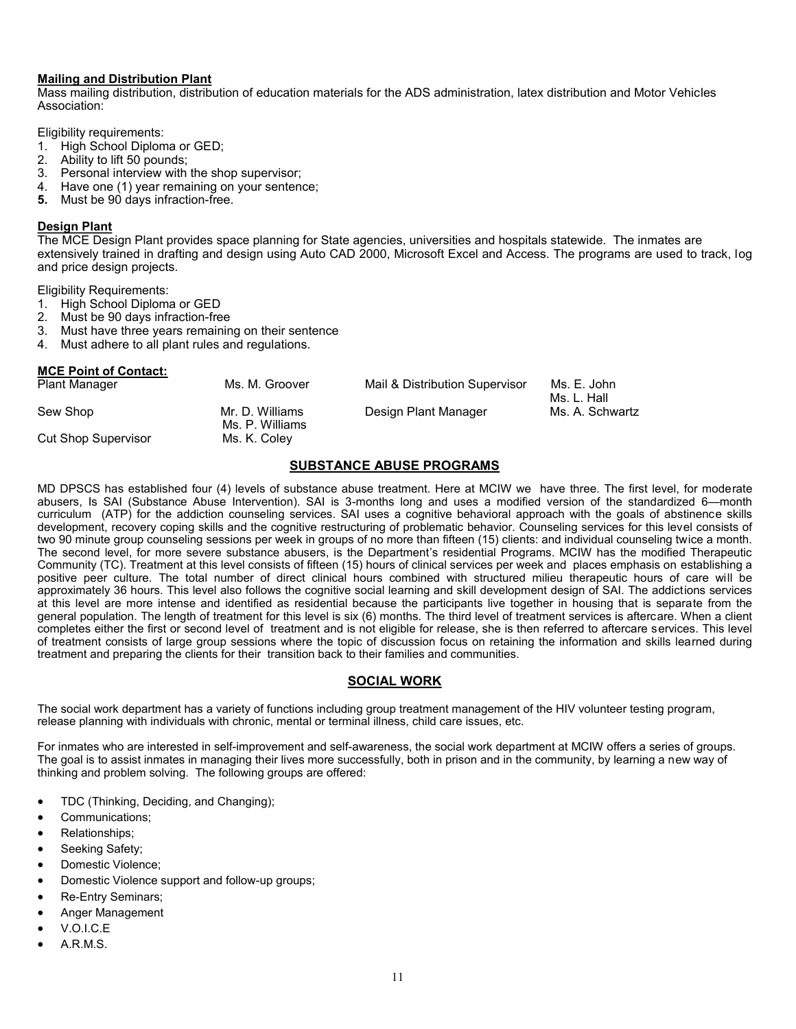# **Mailing and Distribution Plant**

Mass mailing distribution, distribution of education materials for the ADS administration, latex distribution and Motor Vehicles Association:

Eligibility requirements:

- 1. High School Diploma or GED;
- 2. Ability to lift 50 pounds;
- 3. Personal interview with the shop supervisor;
- 4. Have one (1) year remaining on your sentence;
- **5.** Must be 90 days infraction-free.

# **Design Plant**

The MCE Design Plant provides space planning for State agencies, universities and hospitals statewide. The inmates are extensively trained in drafting and design using Auto CAD 2000, Microsoft Excel and Access. The programs are used to track, log and price design projects.

Eligibility Requirements:

- 1. High School Diploma or GED
- 2. Must be 90 days infraction-free
- 3. Must have three years remaining on their sentence
- 4. Must adhere to all plant rules and regulations.

#### **MCE Point of Contact:**

| <b>Plant Manager</b>       | Ms. M. Groover                     | Mail & Distribution Supervisor | Ms. E. John<br>Ms. L. Hall |
|----------------------------|------------------------------------|--------------------------------|----------------------------|
| Sew Shop                   | Mr. D. Williams<br>Ms. P. Williams | Design Plant Manager           | Ms. A. Schwartz            |
| <b>Cut Shop Supervisor</b> | Ms. K. Coley                       |                                |                            |

# **SUBSTANCE ABUSE PROGRAMS**

MD DPSCS has established four (4) levels of substance abuse treatment. Here at MCIW we have three. The first level, for moderate abusers, Is SAI (Substance Abuse Intervention). SAI is 3-months long and uses a modified version of the standardized 6—month curriculum (ATP) for the addiction counseling services. SAI uses a cognitive behavioral approach with the goals of abstinence skills development, recovery coping skills and the cognitive restructuring of problematic behavior. Counseling services for this level consists of two 90 minute group counseling sessions per week in groups of no more than fifteen (15) clients: and individual counseling twice a month. The second level, for more severe substance abusers, is the Department's residential Programs. MCIW has the modified Therapeutic Community (TC). Treatment at this level consists of fifteen (15) hours of clinical services per week and places emphasis on establishing a positive peer culture. The total number of direct clinical hours combined with structured milieu therapeutic hours of care will be approximately 36 hours. This level also follows the cognitive social learning and skill development design of SAI. The addictions services at this level are more intense and identified as residential because the participants live together in housing that is separate from the general population. The length of treatment for this level is six (6) months. The third level of treatment services is aftercare. When a client completes either the first or second level of treatment and is not eligible for release, she is then referred to aftercare services. This level of treatment consists of large group sessions where the topic of discussion focus on retaining the information and skills learned during treatment and preparing the clients for their transition back to their families and communities.

# **SOCIAL WORK**

The social work department has a variety of functions including group treatment management of the HIV volunteer testing program, release planning with individuals with chronic, mental or terminal illness, child care issues, etc.

For inmates who are interested in self-improvement and self-awareness, the social work department at MCIW offers a series of groups. The goal is to assist inmates in managing their lives more successfully, both in prison and in the community, by learning a new way of thinking and problem solving. The following groups are offered:

- TDC (Thinking, Deciding, and Changing);
- Communications;
- Relationships;
- Seeking Safety;
- Domestic Violence;
- Domestic Violence support and follow-up groups;
- Re-Entry Seminars;
- Anger Management
- V.O.I.C.E
- A.R.M.S.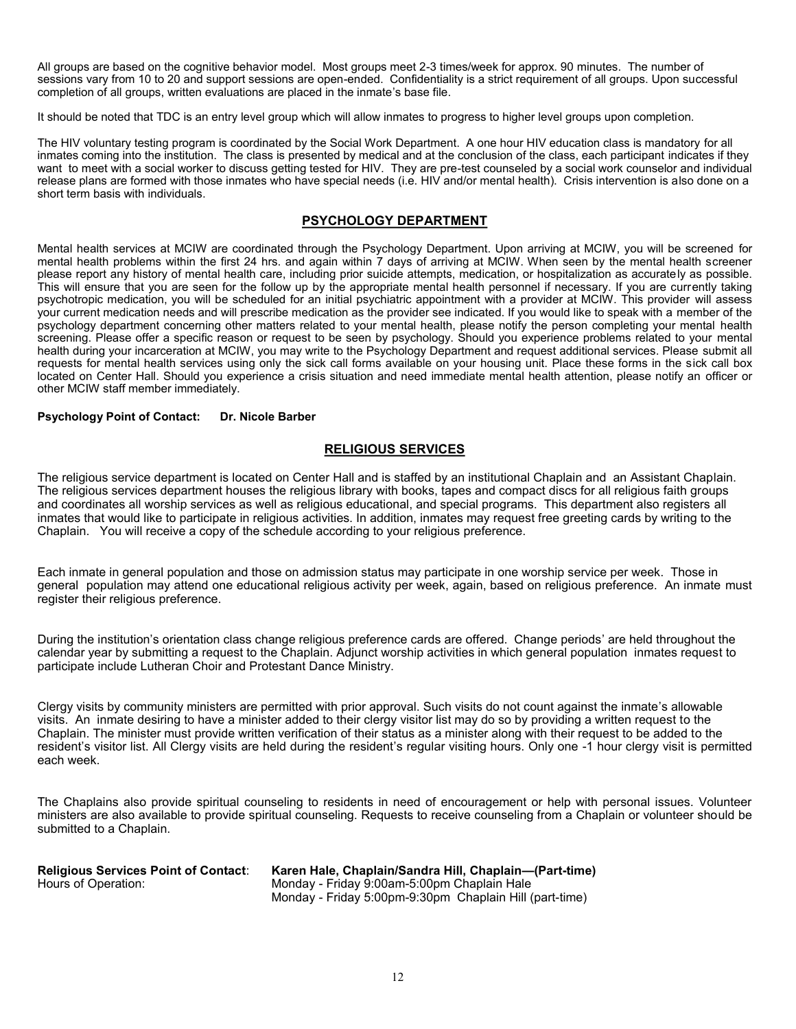All groups are based on the cognitive behavior model. Most groups meet 2-3 times/week for approx. 90 minutes. The number of sessions vary from 10 to 20 and support sessions are open-ended. Confidentiality is a strict requirement of all groups. Upon successful completion of all groups, written evaluations are placed in the inmate's base file.

It should be noted that TDC is an entry level group which will allow inmates to progress to higher level groups upon completion.

The HIV voluntary testing program is coordinated by the Social Work Department. A one hour HIV education class is mandatory for all inmates coming into the institution. The class is presented by medical and at the conclusion of the class, each participant indicates if they want to meet with a social worker to discuss getting tested for HIV. They are pre-test counseled by a social work counselor and individual release plans are formed with those inmates who have special needs (i.e. HIV and/or mental health). Crisis intervention is also done on a short term basis with individuals.

# **PSYCHOLOGY DEPARTMENT**

Mental health services at MCIW are coordinated through the Psychology Department. Upon arriving at MCIW, you will be screened for mental health problems within the first 24 hrs. and again within 7 days of arriving at MCIW. When seen by the mental health screener please report any history of mental health care, including prior suicide attempts, medication, or hospitalization as accurately as possible. This will ensure that you are seen for the follow up by the appropriate mental health personnel if necessary. If you are currently taking psychotropic medication, you will be scheduled for an initial psychiatric appointment with a provider at MCIW. This provider will assess your current medication needs and will prescribe medication as the provider see indicated. If you would like to speak with a member of the psychology department concerning other matters related to your mental health, please notify the person completing your mental health screening. Please offer a specific reason or request to be seen by psychology. Should you experience problems related to your mental health during your incarceration at MCIW, you may write to the Psychology Department and request additional services. Please submit all requests for mental health services using only the sick call forms available on your housing unit. Place these forms in the sick call box located on Center Hall. Should you experience a crisis situation and need immediate mental health attention, please notify an officer or other MCIW staff member immediately.

#### **Psychology Point of Contact: Dr. Nicole Barber**

# **RELIGIOUS SERVICES**

The religious service department is located on Center Hall and is staffed by an institutional Chaplain and an Assistant Chaplain. The religious services department houses the religious library with books, tapes and compact discs for all religious faith groups and coordinates all worship services as well as religious educational, and special programs. This department also registers all inmates that would like to participate in religious activities. In addition, inmates may request free greeting cards by writing to the Chaplain. You will receive a copy of the schedule according to your religious preference.

Each inmate in general population and those on admission status may participate in one worship service per week. Those in general population may attend one educational religious activity per week, again, based on religious preference. An inmate must register their religious preference.

During the institution's orientation class change religious preference cards are offered. Change periods' are held throughout the calendar year by submitting a request to the Chaplain. Adjunct worship activities in which general population inmates request to participate include Lutheran Choir and Protestant Dance Ministry.

Clergy visits by community ministers are permitted with prior approval. Such visits do not count against the inmate's allowable visits. An inmate desiring to have a minister added to their clergy visitor list may do so by providing a written request to the Chaplain. The minister must provide written verification of their status as a minister along with their request to be added to the resident's visitor list. All Clergy visits are held during the resident's regular visiting hours. Only one -1 hour clergy visit is permitted each week.

The Chaplains also provide spiritual counseling to residents in need of encouragement or help with personal issues. Volunteer ministers are also available to provide spiritual counseling. Requests to receive counseling from a Chaplain or volunteer should be submitted to a Chaplain.

| <b>Religious Services Point of Contact:</b> | Karen Hale, Chaplain/Sandra Hill, Chaplain—(Part-time)  |
|---------------------------------------------|---------------------------------------------------------|
| Hours of Operation:                         | Monday - Friday 9:00am-5:00pm Chaplain Hale             |
|                                             | Monday - Friday 5:00pm-9:30pm Chaplain Hill (part-time) |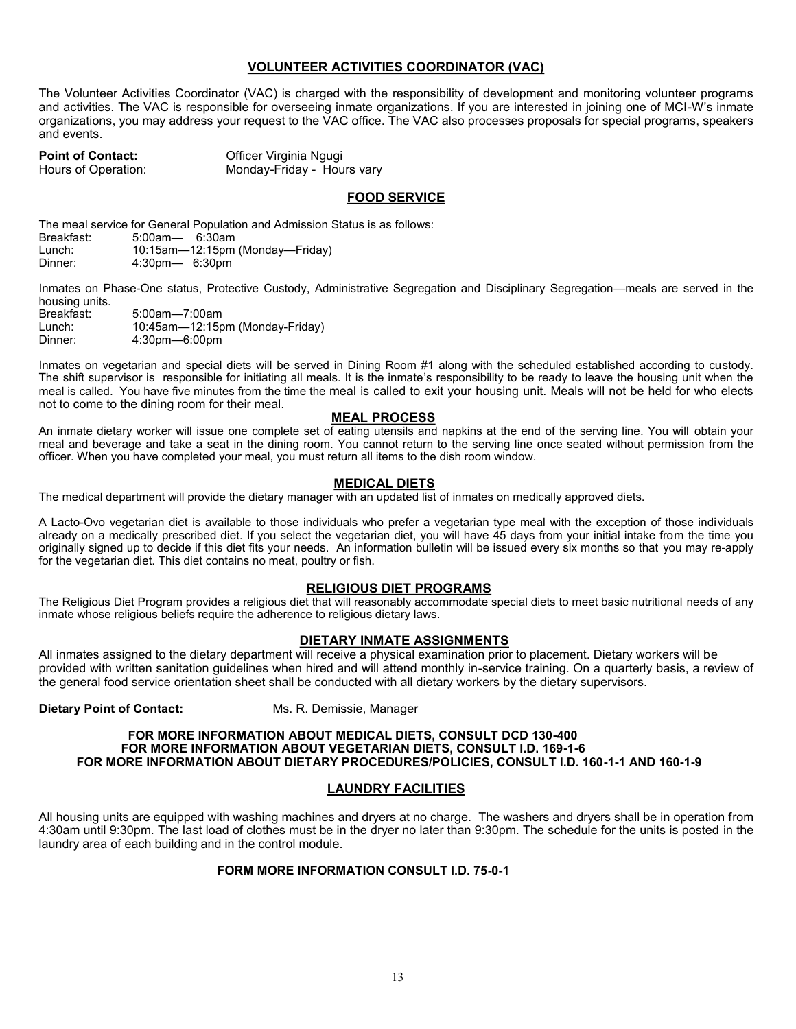# **VOLUNTEER ACTIVITIES COORDINATOR (VAC)**

The Volunteer Activities Coordinator (VAC) is charged with the responsibility of development and monitoring volunteer programs and activities. The VAC is responsible for overseeing inmate organizations. If you are interested in joining one of MCI-W's inmate organizations, you may address your request to the VAC office. The VAC also processes proposals for special programs, speakers and events.

**Point of Contact: Canter Contact:** Officer Virginia Ngugi Hours of Operation: Monday-Friday - Hours vary

# **FOOD SERVICE**

The meal service for General Population and Admission Status is as follows:<br>Breakfast: 5:00am— 6:30am

Breakfast: 5:00am— 6:30am

Lunch: 10:15am—12:15pm (Monday—Friday) 4:30pm— 6:30pm

Inmates on Phase-One status, Protective Custody, Administrative Segregation and Disciplinary Segregation—meals are served in the housing units.<br>Breakfast:

Breakfast: 5:00am—7:00am 10:45am-12:15pm (Monday-Friday) Dinner: 4:30pm—6:00pm

Inmates on vegetarian and special diets will be served in Dining Room #1 along with the scheduled established according to custody. The shift supervisor is responsible for initiating all meals. It is the inmate's responsibility to be ready to leave the housing unit when the meal is called. You have five minutes from the time the meal is called to exit your housing unit. Meals will not be held for who elects not to come to the dining room for their meal.

# **MEAL PROCESS**

An inmate dietary worker will issue one complete set of eating utensils and napkins at the end of the serving line. You will obtain your meal and beverage and take a seat in the dining room. You cannot return to the serving line once seated without permission from the officer. When you have completed your meal, you must return all items to the dish room window.

# **MEDICAL DIETS**

The medical department will provide the dietary manager with an updated list of inmates on medically approved diets.

A Lacto-Ovo vegetarian diet is available to those individuals who prefer a vegetarian type meal with the exception of those individuals already on a medically prescribed diet. If you select the vegetarian diet, you will have 45 days from your initial intake from the time you originally signed up to decide if this diet fits your needs. An information bulletin will be issued every six months so that you may re-apply for the vegetarian diet. This diet contains no meat, poultry or fish.

#### **RELIGIOUS DIET PROGRAMS**

The Religious Diet Program provides a religious diet that will reasonably accommodate special diets to meet basic nutritional needs of any inmate whose religious beliefs require the adherence to religious dietary laws.

#### **DIETARY INMATE ASSIGNMENTS**

All inmates assigned to the dietary department will receive a physical examination prior to placement. Dietary workers will be provided with written sanitation guidelines when hired and will attend monthly in-service training. On a quarterly basis, a review of the general food service orientation sheet shall be conducted with all dietary workers by the dietary supervisors.

**Dietary Point of Contact:** Ms. R. Demissie, Manager

#### **FOR MORE INFORMATION ABOUT MEDICAL DIETS, CONSULT DCD 130-400 FOR MORE INFORMATION ABOUT VEGETARIAN DIETS, CONSULT I.D. 169-1-6 FOR MORE INFORMATION ABOUT DIETARY PROCEDURES/POLICIES, CONSULT I.D. 160-1-1 AND 160-1-9**

# **LAUNDRY FACILITIES**

All housing units are equipped with washing machines and dryers at no charge. The washers and dryers shall be in operation from 4:30am until 9:30pm. The last load of clothes must be in the dryer no later than 9:30pm. The schedule for the units is posted in the laundry area of each building and in the control module.

#### **FORM MORE INFORMATION CONSULT I.D. 75-0-1**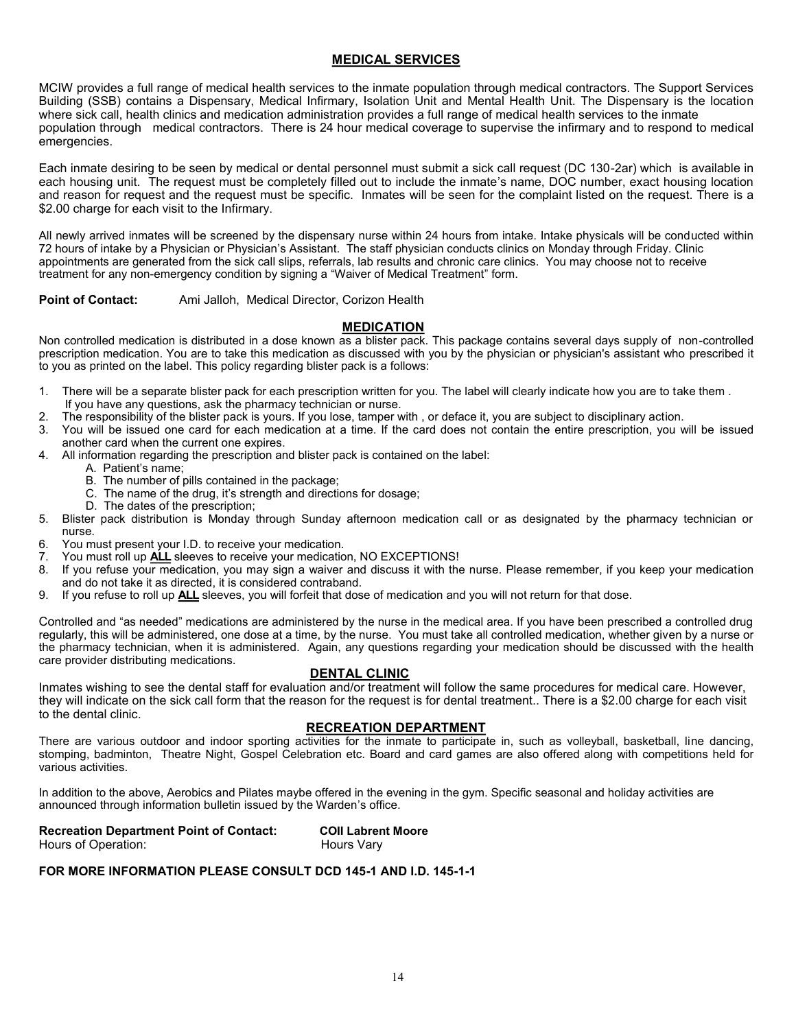# **MEDICAL SERVICES**

MCIW provides a full range of medical health services to the inmate population through medical contractors. The Support Services Building (SSB) contains a Dispensary, Medical Infirmary, Isolation Unit and Mental Health Unit. The Dispensary is the location where sick call, health clinics and medication administration provides a full range of medical health services to the inmate population through medical contractors. There is 24 hour medical coverage to supervise the infirmary and to respond to medical emergencies.

Each inmate desiring to be seen by medical or dental personnel must submit a sick call request (DC 130-2ar) which is available in each housing unit. The request must be completely filled out to include the inmate's name, DOC number, exact housing location and reason for request and the request must be specific. Inmates will be seen for the complaint listed on the request. There is a \$2.00 charge for each visit to the Infirmary.

All newly arrived inmates will be screened by the dispensary nurse within 24 hours from intake. Intake physicals will be conducted within 72 hours of intake by a Physician or Physician's Assistant. The staff physician conducts clinics on Monday through Friday. Clinic appointments are generated from the sick call slips, referrals, lab results and chronic care clinics. You may choose not to receive treatment for any non-emergency condition by signing a "Waiver of Medical Treatment" form.

**Point of Contact:** Ami Jalloh, Medical Director, Corizon Health

# **MEDICATION**

Non controlled medication is distributed in a dose known as a blister pack. This package contains several days supply of non-controlled prescription medication. You are to take this medication as discussed with you by the physician or physician's assistant who prescribed it to you as printed on the label. This policy regarding blister pack is a follows:

- 1. There will be a separate blister pack for each prescription written for you. The label will clearly indicate how you are to take them . If you have any questions, ask the pharmacy technician or nurse.
- 2. The responsibility of the blister pack is yours. If you lose, tamper with , or deface it, you are subject to disciplinary action.
- 3. You will be issued one card for each medication at a time. If the card does not contain the entire prescription, you will be issued another card when the current one expires.
- 4. All information regarding the prescription and blister pack is contained on the label:
	- A. Patient's name;
	- B. The number of pills contained in the package;
	- C. The name of the drug, it's strength and directions for dosage;
	- D. The dates of the prescription;
- 5. Blister pack distribution is Monday through Sunday afternoon medication call or as designated by the pharmacy technician or nurse.
- 6. You must present your I.D. to receive your medication.
- 7. You must roll up **ALL** sleeves to receive your medication, NO EXCEPTIONS!<br>8. If you refuse your medication, you may sign a waiver and discuss it with the
- If you refuse your medication, you may sign a waiver and discuss it with the nurse. Please remember, if you keep your medication and do not take it as directed, it is considered contraband.
- 9. If you refuse to roll up **ALL** sleeves, you will forfeit that dose of medication and you will not return for that dose.

Controlled and "as needed" medications are administered by the nurse in the medical area. If you have been prescribed a controlled drug regularly, this will be administered, one dose at a time, by the nurse. You must take all controlled medication, whether given by a nurse or the pharmacy technician, when it is administered. Again, any questions regarding your medication should be discussed with the health care provider distributing medications.

# **DENTAL CLINIC**

Inmates wishing to see the dental staff for evaluation and/or treatment will follow the same procedures for medical care. However, they will indicate on the sick call form that the reason for the request is for dental treatment.. There is a \$2.00 charge for each visit to the dental clinic.

# **RECREATION DEPARTMENT**

There are various outdoor and indoor sporting activities for the inmate to participate in, such as volleyball, basketball, line dancing, stomping, badminton, Theatre Night, Gospel Celebration etc. Board and card games are also offered along with competitions held for various activities.

In addition to the above, Aerobics and Pilates maybe offered in the evening in the gym. Specific seasonal and holiday activities are announced through information bulletin issued by the Warden's office.

| <b>Recreation Department Point of Contact:</b> | <b>COII Labrent Moore</b> |
|------------------------------------------------|---------------------------|
| Hours of Operation:                            | Hours Vary                |

# **FOR MORE INFORMATION PLEASE CONSULT DCD 145-1 AND I.D. 145-1-1**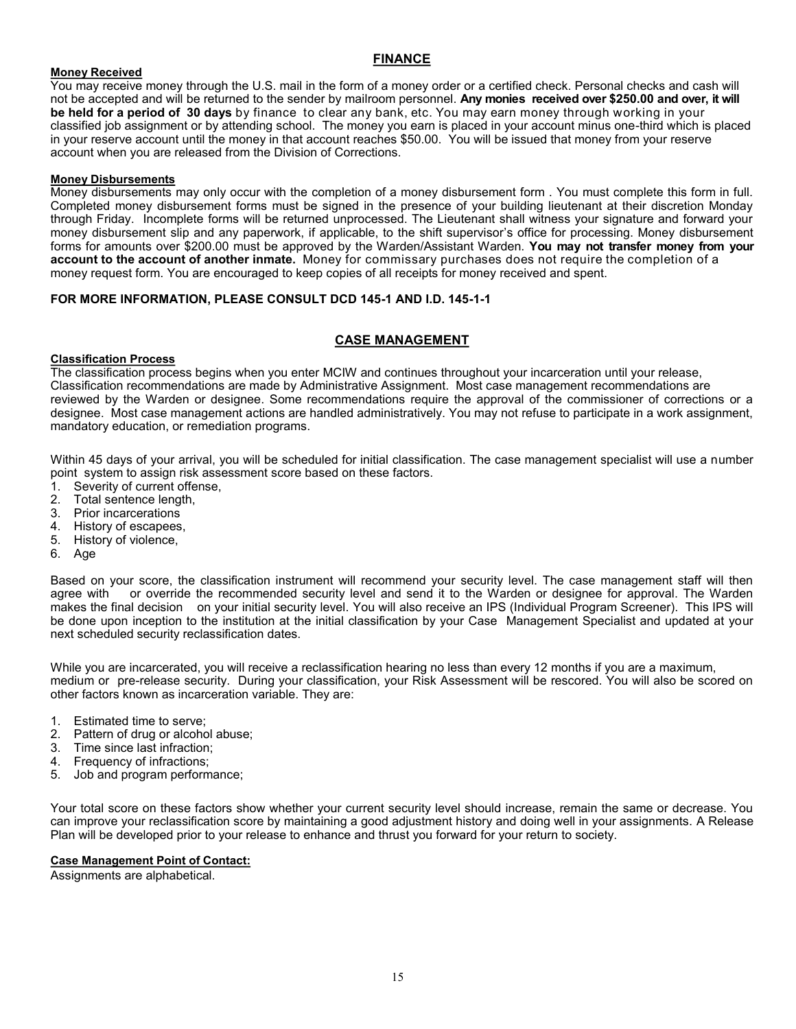# **FINANCE**

#### **Money Received**

You may receive money through the U.S. mail in the form of a money order or a certified check. Personal checks and cash will not be accepted and will be returned to the sender by mailroom personnel. **Any monies received over \$250.00 and over, it will be held for a period of 30 days** by finance to clear any bank, etc. You may earn money through working in your classified job assignment or by attending school. The money you earn is placed in your account minus one-third which is placed in your reserve account until the money in that account reaches \$50.00. You will be issued that money from your reserve account when you are released from the Division of Corrections.

# **Money Disbursements**

Money disbursements may only occur with the completion of a money disbursement form . You must complete this form in full. Completed money disbursement forms must be signed in the presence of your building lieutenant at their discretion Monday through Friday. Incomplete forms will be returned unprocessed. The Lieutenant shall witness your signature and forward your money disbursement slip and any paperwork, if applicable, to the shift supervisor's office for processing. Money disbursement forms for amounts over \$200.00 must be approved by the Warden/Assistant Warden. **You may not transfer money from your account to the account of another inmate.** Money for commissary purchases does not require the completion of a money request form. You are encouraged to keep copies of all receipts for money received and spent.

# **FOR MORE INFORMATION, PLEASE CONSULT DCD 145-1 AND I.D. 145-1-1**

# **CASE MANAGEMENT**

#### **Classification Process**

The classification process begins when you enter MCIW and continues throughout your incarceration until your release, Classification recommendations are made by Administrative Assignment. Most case management recommendations are reviewed by the Warden or designee. Some recommendations require the approval of the commissioner of corrections or a designee. Most case management actions are handled administratively. You may not refuse to participate in a work assignment, mandatory education, or remediation programs.

Within 45 days of your arrival, you will be scheduled for initial classification. The case management specialist will use a number point system to assign risk assessment score based on these factors.

- 1. Severity of current offense,
- 2. Total sentence length,
- 3. Prior incarcerations
- 4. History of escapees,
- 5. History of violence,
- 6. Age

Based on your score, the classification instrument will recommend your security level. The case management staff will then agree with or override the recommended security level and send it to the Warden or designee for approval. The Warden makes the final decision on your initial security level. You will also receive an IPS (Individual Program Screener). This IPS will be done upon inception to the institution at the initial classification by your Case Management Specialist and updated at your next scheduled security reclassification dates.

While you are incarcerated, you will receive a reclassification hearing no less than every 12 months if you are a maximum, medium or pre-release security. During your classification, your Risk Assessment will be rescored. You will also be scored on other factors known as incarceration variable. They are:

- 1. Estimated time to serve;
- 2. Pattern of drug or alcohol abuse;
- 3. Time since last infraction;
- 4. Frequency of infractions;
- 5. Job and program performance;

Your total score on these factors show whether your current security level should increase, remain the same or decrease. You can improve your reclassification score by maintaining a good adjustment history and doing well in your assignments. A Release Plan will be developed prior to your release to enhance and thrust you forward for your return to society.

#### **Case Management Point of Contact:**

Assignments are alphabetical.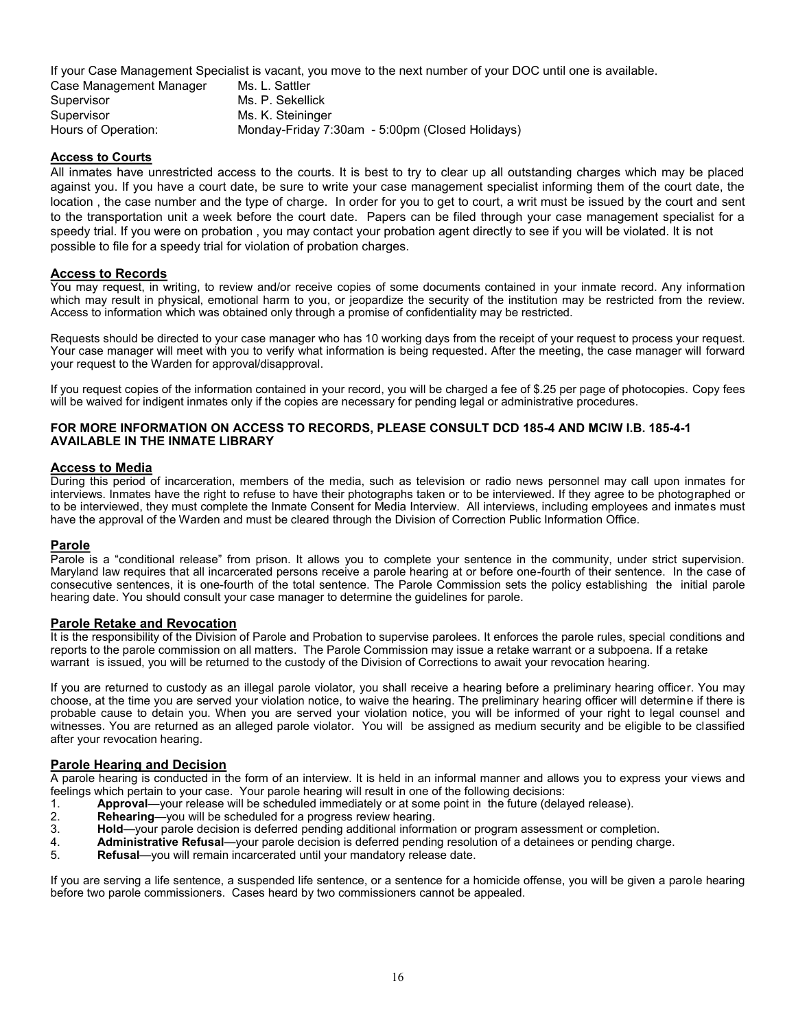If your Case Management Specialist is vacant, you move to the next number of your DOC until one is available.

| Case Management Manager | Ms. L. Sattler                                  |
|-------------------------|-------------------------------------------------|
| Supervisor              | Ms. P. Sekellick                                |
| Supervisor              | Ms. K. Steininger                               |
| Hours of Operation:     | Monday-Friday 7:30am - 5:00pm (Closed Holidays) |

# **Access to Courts**

All inmates have unrestricted access to the courts. It is best to try to clear up all outstanding charges which may be placed against you. If you have a court date, be sure to write your case management specialist informing them of the court date, the location , the case number and the type of charge. In order for you to get to court, a writ must be issued by the court and sent to the transportation unit a week before the court date. Papers can be filed through your case management specialist for a speedy trial. If you were on probation , you may contact your probation agent directly to see if you will be violated. It is not possible to file for a speedy trial for violation of probation charges.

# **Access to Records**

You may request, in writing, to review and/or receive copies of some documents contained in your inmate record. Any information which may result in physical, emotional harm to you, or jeopardize the security of the institution may be restricted from the review. Access to information which was obtained only through a promise of confidentiality may be restricted.

Requests should be directed to your case manager who has 10 working days from the receipt of your request to process your request. Your case manager will meet with you to verify what information is being requested. After the meeting, the case manager will forward your request to the Warden for approval/disapproval.

If you request copies of the information contained in your record, you will be charged a fee of \$.25 per page of photocopies. Copy fees will be waived for indigent inmates only if the copies are necessary for pending legal or administrative procedures.

#### **FOR MORE INFORMATION ON ACCESS TO RECORDS, PLEASE CONSULT DCD 185-4 AND MCIW I.B. 185-4-1 AVAILABLE IN THE INMATE LIBRARY**

#### **Access to Media**

During this period of incarceration, members of the media, such as television or radio news personnel may call upon inmates for interviews. Inmates have the right to refuse to have their photographs taken or to be interviewed. If they agree to be photographed or to be interviewed, they must complete the Inmate Consent for Media Interview. All interviews, including employees and inmates must have the approval of the Warden and must be cleared through the Division of Correction Public Information Office.

#### **Parole**

Parole is a "conditional release" from prison. It allows you to complete your sentence in the community, under strict supervision. Maryland law requires that all incarcerated persons receive a parole hearing at or before one-fourth of their sentence. In the case of consecutive sentences, it is one-fourth of the total sentence. The Parole Commission sets the policy establishing the initial parole hearing date. You should consult your case manager to determine the guidelines for parole.

#### **Parole Retake and Revocation**

It is the responsibility of the Division of Parole and Probation to supervise parolees. It enforces the parole rules, special conditions and reports to the parole commission on all matters. The Parole Commission may issue a retake warrant or a subpoena. If a retake warrant is issued, you will be returned to the custody of the Division of Corrections to await your revocation hearing.

If you are returned to custody as an illegal parole violator, you shall receive a hearing before a preliminary hearing officer. You may choose, at the time you are served your violation notice, to waive the hearing. The preliminary hearing officer will determine if there is probable cause to detain you. When you are served your violation notice, you will be informed of your right to legal counsel and witnesses. You are returned as an alleged parole violator. You will be assigned as medium security and be eligible to be classified after your revocation hearing.

# **Parole Hearing and Decision**

A parole hearing is conducted in the form of an interview. It is held in an informal manner and allows you to express your views and feelings which pertain to your case. Your parole hearing will result in one of the following decisions:

- 1. **Approval**—your release will be scheduled immediately or at some point in the future (delayed release).
- Rehearing-you will be scheduled for a progress review hearing.
- 3. **Hold**—your parole decision is deferred pending additional information or program assessment or completion.
- 4. **Administrative Refusal**—your parole decision is deferred pending resolution of a detainees or pending charge.
- Refusal—you will remain incarcerated until your mandatory release date.

If you are serving a life sentence, a suspended life sentence, or a sentence for a homicide offense, you will be given a parole hearing before two parole commissioners. Cases heard by two commissioners cannot be appealed.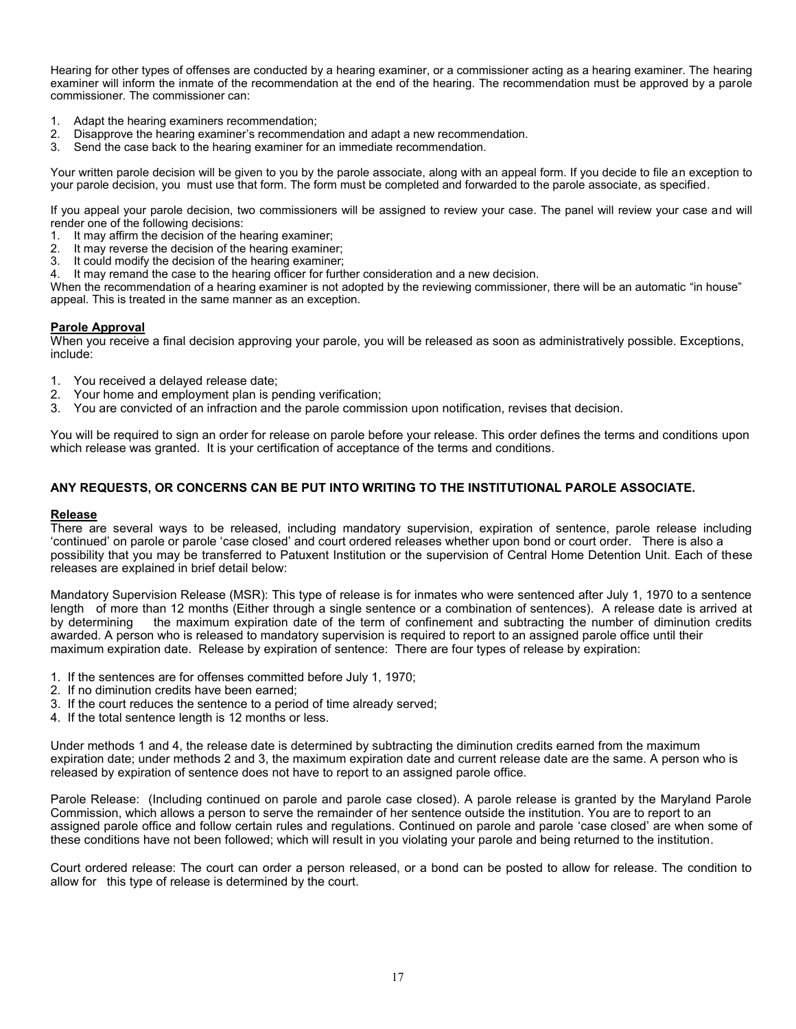Hearing for other types of offenses are conducted by a hearing examiner, or a commissioner acting as a hearing examiner. The hearing examiner will inform the inmate of the recommendation at the end of the hearing. The recommendation must be approved by a parole commissioner. The commissioner can:

- 1. Adapt the hearing examiners recommendation;
- 2. Disapprove the hearing examiner's recommendation and adapt a new recommendation.
- 3. Send the case back to the hearing examiner for an immediate recommendation.

Your written parole decision will be given to you by the parole associate, along with an appeal form. If you decide to file an exception to your parole decision, you must use that form. The form must be completed and forwarded to the parole associate, as specified.

If you appeal your parole decision, two commissioners will be assigned to review your case. The panel will review your case and will render one of the following decisions:

- 1. It may affirm the decision of the hearing examiner;
- 2. It may reverse the decision of the hearing examiner;
- 3. It could modify the decision of the hearing examiner;
- 4. It may remand the case to the hearing officer for further consideration and a new decision.

When the recommendation of a hearing examiner is not adopted by the reviewing commissioner, there will be an automatic "in house" appeal. This is treated in the same manner as an exception.

#### **Parole Approval**

When you receive a final decision approving your parole, you will be released as soon as administratively possible. Exceptions, include:

- 1. You received a delayed release date;
- 2. Your home and employment plan is pending verification;
- 3. You are convicted of an infraction and the parole commission upon notification, revises that decision.

You will be required to sign an order for release on parole before your release. This order defines the terms and conditions upon which release was granted. It is your certification of acceptance of the terms and conditions.

#### **ANY REQUESTS, OR CONCERNS CAN BE PUT INTO WRITING TO THE INSTITUTIONAL PAROLE ASSOCIATE.**

#### **Release**

There are several ways to be released, including mandatory supervision, expiration of sentence, parole release including 'continued' on parole or parole 'case closed' and court ordered releases whether upon bond or court order. There is also a possibility that you may be transferred to Patuxent Institution or the supervision of Central Home Detention Unit. Each of these releases are explained in brief detail below:

Mandatory Supervision Release (MSR): This type of release is for inmates who were sentenced after July 1, 1970 to a sentence length of more than 12 months (Either through a single sentence or a combination of sentences). A release date is arrived at by determining the maximum expiration date of the term of confinement and subtracting the number of diminution credits awarded. A person who is released to mandatory supervision is required to report to an assigned parole office until their maximum expiration date. Release by expiration of sentence: There are four types of release by expiration:

- 1. If the sentences are for offenses committed before July 1, 1970;
- 2. If no diminution credits have been earned;
- 3. If the court reduces the sentence to a period of time already served;
- 4. If the total sentence length is 12 months or less.

Under methods 1 and 4, the release date is determined by subtracting the diminution credits earned from the maximum expiration date; under methods 2 and 3, the maximum expiration date and current release date are the same. A person who is released by expiration of sentence does not have to report to an assigned parole office.

Parole Release: (Including continued on parole and parole case closed). A parole release is granted by the Maryland Parole Commission, which allows a person to serve the remainder of her sentence outside the institution. You are to report to an assigned parole office and follow certain rules and regulations. Continued on parole and parole 'case closed' are when some of these conditions have not been followed; which will result in you violating your parole and being returned to the institution.

Court ordered release: The court can order a person released, or a bond can be posted to allow for release. The condition to allow for this type of release is determined by the court.